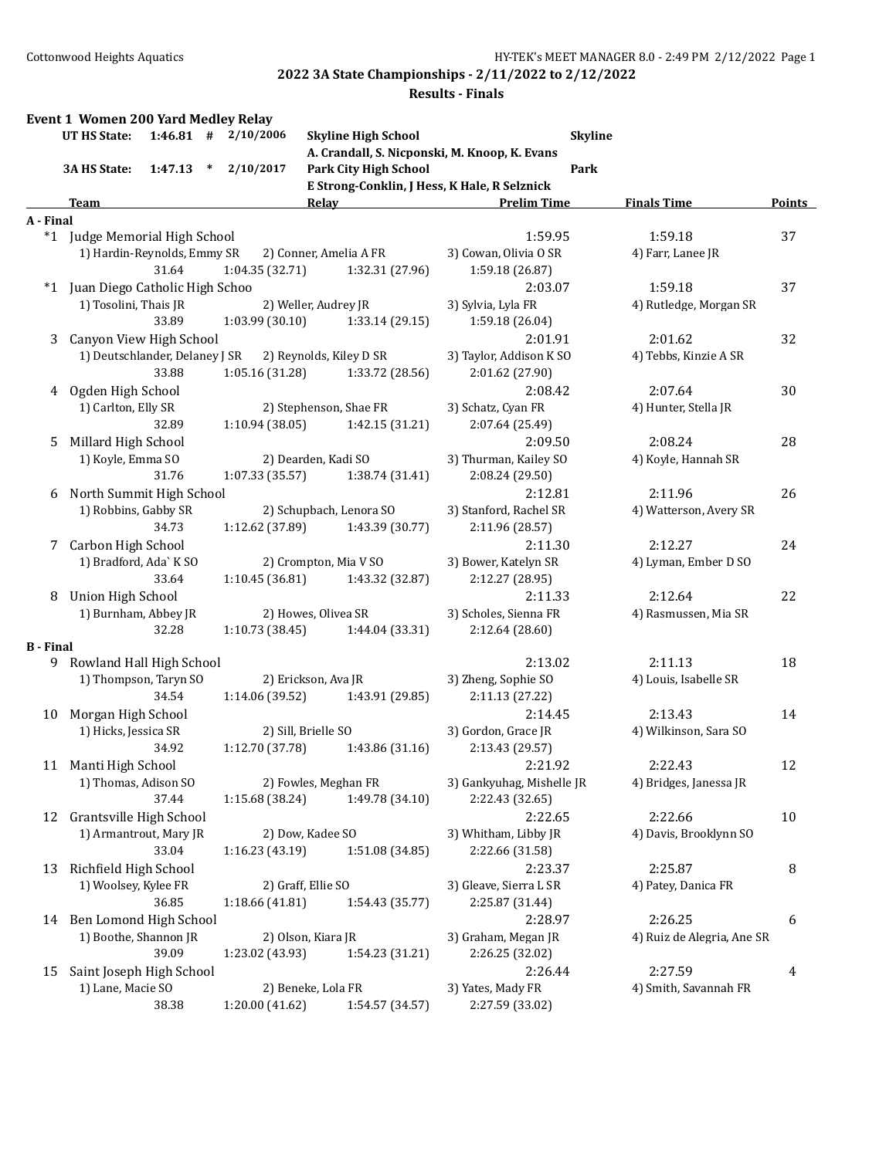|                  | UT HS State:                              |        | $1:46.81$ # $2/10/2006$ |       | <b>Skyline High School</b>   |                                               | <b>Skyline</b> |                                   |               |
|------------------|-------------------------------------------|--------|-------------------------|-------|------------------------------|-----------------------------------------------|----------------|-----------------------------------|---------------|
|                  |                                           | $\ast$ | 2/10/2017               |       |                              | A. Crandall, S. Nicponski, M. Knoop, K. Evans |                |                                   |               |
|                  | 1:47.13<br>3A HS State:                   |        |                         |       | <b>Park City High School</b> | E Strong-Conklin, J Hess, K Hale, R Selznick  | Park           |                                   |               |
|                  | Team                                      |        |                         | Relay |                              | <b>Prelim Time</b>                            |                | <b>Finals Time</b>                | <b>Points</b> |
| A - Final        |                                           |        |                         |       |                              |                                               |                |                                   |               |
|                  | *1 Judge Memorial High School             |        |                         |       |                              | 1:59.95                                       |                | 1:59.18                           | 37            |
|                  | 1) Hardin-Reynolds, Emmy SR               |        |                         |       | 2) Conner, Amelia A FR       | 3) Cowan, Olivia O SR                         |                | 4) Farr, Lanee JR                 |               |
|                  | 31.64                                     |        | 1:04.35 (32.71)         |       | 1:32.31 (27.96)              | 1:59.18 (26.87)                               |                |                                   |               |
| $*1$             | Juan Diego Catholic High Schoo            |        |                         |       |                              | 2:03.07                                       |                | 1:59.18                           | 37            |
|                  | 1) Tosolini, Thais JR                     |        | 2) Weller, Audrey JR    |       |                              | 3) Sylvia, Lyla FR                            |                | 4) Rutledge, Morgan SR            |               |
|                  | 33.89                                     |        | 1:03.99 (30.10)         |       | 1:33.14(29.15)               | 1:59.18 (26.04)                               |                |                                   |               |
| 3                | Canyon View High School                   |        |                         |       |                              | 2:01.91                                       |                | 2:01.62                           | 32            |
|                  | 1) Deutschlander, Delaney J SR            |        |                         |       | 2) Reynolds, Kiley D SR      | 3) Taylor, Addison K SO                       |                | 4) Tebbs, Kinzie A SR             |               |
|                  | 33.88                                     |        | 1:05.16 (31.28)         |       | 1:33.72 (28.56)              | 2:01.62 (27.90)                               |                |                                   |               |
| 4                | Ogden High School                         |        |                         |       |                              | 2:08.42                                       |                | 2:07.64                           | 30            |
|                  | 1) Carlton, Elly SR                       |        |                         |       | 2) Stephenson, Shae FR       | 3) Schatz, Cyan FR                            |                | 4) Hunter, Stella JR              |               |
|                  | 32.89                                     |        | 1:10.94(38.05)          |       | 1:42.15 (31.21)              | 2:07.64 (25.49)                               |                |                                   |               |
| 5.               | Millard High School<br>1) Koyle, Emma SO  |        | 2) Dearden, Kadi SO     |       |                              | 2:09.50<br>3) Thurman, Kailey SO              |                | 2:08.24<br>4) Koyle, Hannah SR    | 28            |
|                  | 31.76                                     |        | 1:07.33 (35.57)         |       | 1:38.74 (31.41)              | 2:08.24 (29.50)                               |                |                                   |               |
| 6                | North Summit High School                  |        |                         |       |                              | 2:12.81                                       |                | 2:11.96                           | 26            |
|                  | 1) Robbins, Gabby SR                      |        |                         |       | 2) Schupbach, Lenora SO      | 3) Stanford, Rachel SR                        |                | 4) Watterson, Avery SR            |               |
|                  | 34.73                                     |        | 1:12.62 (37.89)         |       | 1:43.39 (30.77)              | 2:11.96 (28.57)                               |                |                                   |               |
| 7                | Carbon High School                        |        |                         |       |                              | 2:11.30                                       |                | 2:12.27                           | 24            |
|                  | 1) Bradford, Ada` K SO                    |        |                         |       | 2) Crompton, Mia V SO        | 3) Bower, Katelyn SR                          |                | 4) Lyman, Ember D SO              |               |
|                  | 33.64                                     |        | 1:10.45 (36.81)         |       | 1:43.32 (32.87)              | 2:12.27 (28.95)                               |                |                                   |               |
| 8                | <b>Union High School</b>                  |        |                         |       |                              | 2:11.33                                       |                | 2:12.64                           | 22            |
|                  | 1) Burnham, Abbey JR                      |        | 2) Howes, Olivea SR     |       |                              | 3) Scholes, Sienna FR                         |                | 4) Rasmussen, Mia SR              |               |
|                  | 32.28                                     |        | 1:10.73 (38.45)         |       | 1:44.04 (33.31)              | 2:12.64 (28.60)                               |                |                                   |               |
| <b>B</b> - Final |                                           |        |                         |       |                              |                                               |                |                                   |               |
|                  | 9 Rowland Hall High School                |        |                         |       |                              | 2:13.02                                       |                | 2:11.13                           | 18            |
|                  | 1) Thompson, Taryn SO                     |        | 2) Erickson, Ava JR     |       |                              | 3) Zheng, Sophie SO                           |                | 4) Louis, Isabelle SR             |               |
|                  | 34.54                                     |        | 1:14.06 (39.52)         |       | 1:43.91 (29.85)              | 2:11.13 (27.22)                               |                |                                   |               |
| 10               | Morgan High School                        |        |                         |       |                              | 2:14.45                                       |                | 2:13.43                           | 14            |
|                  | 1) Hicks, Jessica SR                      |        | 2) Sill, Brielle SO     |       |                              | 3) Gordon, Grace JR                           |                | 4) Wilkinson, Sara SO             |               |
|                  | 34.92                                     |        | 1:12.70 (37.78)         |       | 1:43.86 (31.16)              | 2:13.43 (29.57)                               |                |                                   |               |
| 11               | Manti High School<br>1) Thomas, Adison SO |        |                         |       | 2) Fowles, Meghan FR         | 2:21.92<br>3) Gankyuhag, Mishelle JR          |                | 2:22.43<br>4) Bridges, Janessa JR | 12            |
|                  | 37.44                                     |        | 1:15.68 (38.24)         |       | 1:49.78 (34.10)              | 2:22.43 (32.65)                               |                |                                   |               |
| 12               | Grantsville High School                   |        |                         |       |                              | 2:22.65                                       |                | 2:22.66                           | 10            |
|                  | 1) Armantrout, Mary JR                    |        | 2) Dow, Kadee SO        |       |                              | 3) Whitham, Libby JR                          |                | 4) Davis, Brooklynn SO            |               |
|                  | 33.04                                     |        | 1:16.23 (43.19)         |       | 1:51.08 (34.85)              | 2:22.66 (31.58)                               |                |                                   |               |
| 13               | Richfield High School                     |        |                         |       |                              | 2:23.37                                       |                | 2:25.87                           | 8             |
|                  | 1) Woolsey, Kylee FR                      |        | 2) Graff, Ellie SO      |       |                              | 3) Gleave, Sierra L SR                        |                | 4) Patey, Danica FR               |               |
|                  | 36.85                                     |        | 1:18.66 (41.81)         |       | 1:54.43 (35.77)              | 2:25.87 (31.44)                               |                |                                   |               |
| 14               | Ben Lomond High School                    |        |                         |       |                              | 2:28.97                                       |                | 2:26.25                           | 6             |
|                  | 1) Boothe, Shannon JR                     |        | 2) Olson, Kiara JR      |       |                              | 3) Graham, Megan JR                           |                | 4) Ruiz de Alegria, Ane SR        |               |
|                  | 39.09                                     |        | 1:23.02 (43.93)         |       | 1:54.23 (31.21)              | 2:26.25 (32.02)                               |                |                                   |               |
| 15               | Saint Joseph High School                  |        |                         |       |                              | 2:26.44                                       |                | 2:27.59                           | 4             |
|                  |                                           |        | 2) Beneke, Lola FR      |       |                              | 3) Yates, Mady FR                             |                | 4) Smith, Savannah FR             |               |
|                  | 1) Lane, Macie SO                         |        |                         |       |                              |                                               |                |                                   |               |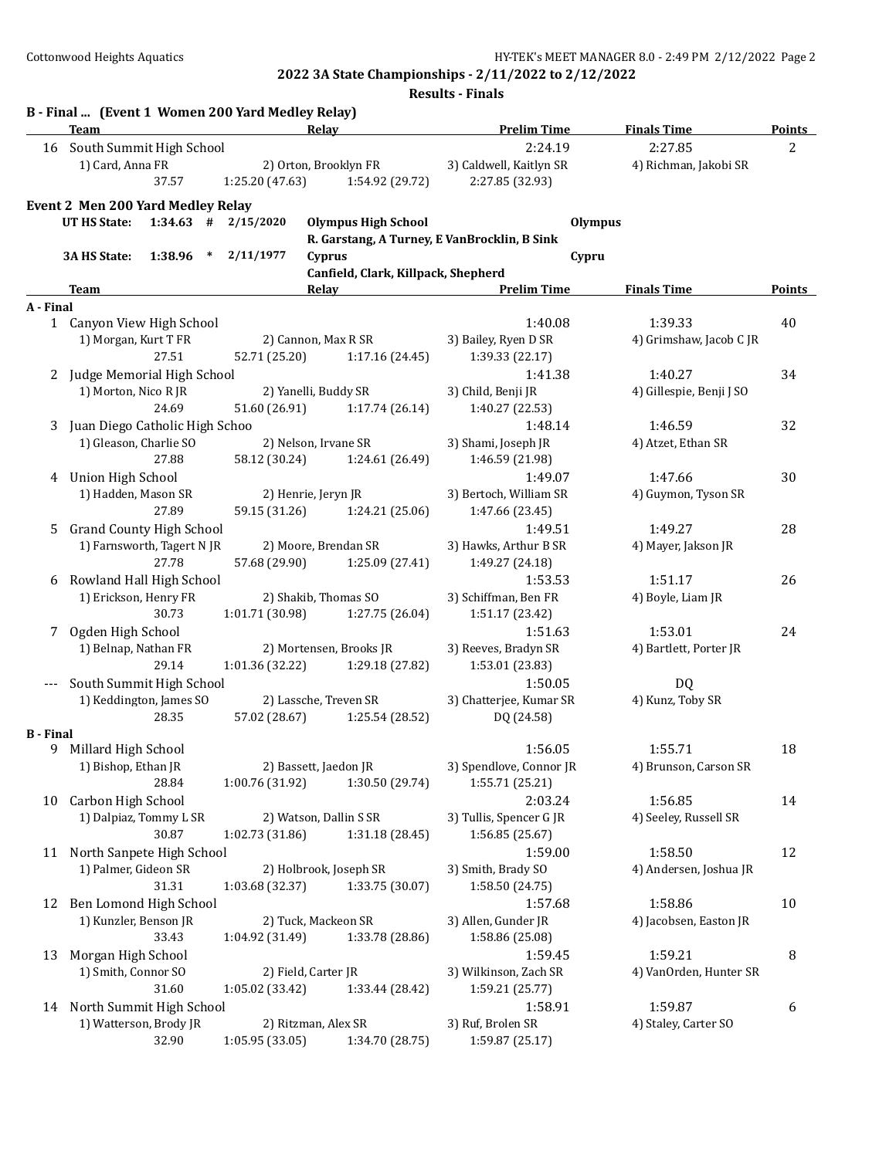|                  | B - Final  (Event 1 Women 200 Yard Medley Relay)<br>Team |                         | Relay                                        | <b>Prelim Time</b>      | <b>Finals Time</b>       | <b>Points</b>  |
|------------------|----------------------------------------------------------|-------------------------|----------------------------------------------|-------------------------|--------------------------|----------------|
|                  | 16 South Summit High School                              |                         |                                              | 2:24.19                 | 2:27.85                  | $\overline{c}$ |
|                  | 1) Card, Anna FR                                         |                         | 2) Orton, Brooklyn FR                        | 3) Caldwell, Kaitlyn SR | 4) Richman, Jakobi SR    |                |
|                  | 37.57                                                    | 1:25.20 (47.63)         | 1:54.92 (29.72)                              | 2:27.85 (32.93)         |                          |                |
|                  | Event 2 Men 200 Yard Medley Relay                        |                         |                                              |                         |                          |                |
|                  | UT HS State:                                             | $1:34.63$ # $2/15/2020$ | <b>Olympus High School</b>                   | <b>Olympus</b>          |                          |                |
|                  |                                                          |                         | R. Garstang, A Turney, E VanBrocklin, B Sink |                         |                          |                |
|                  | 1:38.96<br>3A HS State:                                  | 2/11/1977<br>$\ast$     | Cyprus                                       | Cypru                   |                          |                |
|                  |                                                          |                         | Canfield, Clark, Killpack, Shepherd          |                         |                          |                |
|                  | <b>Team</b>                                              |                         | Relay                                        | <b>Prelim Time</b>      | <b>Finals Time</b>       | Points         |
| A - Final        |                                                          |                         |                                              |                         |                          |                |
|                  | 1 Canyon View High School                                |                         |                                              | 1:40.08                 | 1:39.33                  | 40             |
|                  | 1) Morgan, Kurt T FR                                     |                         | 2) Cannon, Max R SR                          | 3) Bailey, Ryen D SR    | 4) Grimshaw, Jacob C JR  |                |
|                  | 27.51                                                    | 52.71 (25.20)           | 1:17.16 (24.45)                              | 1:39.33 (22.17)         |                          |                |
| 2                | Judge Memorial High School                               |                         |                                              | 1:41.38                 | 1:40.27                  | 34             |
|                  | 1) Morton, Nico R JR                                     |                         | 2) Yanelli, Buddy SR                         | 3) Child, Benji JR      | 4) Gillespie, Benji J SO |                |
|                  | 24.69                                                    | 51.60 (26.91)           | 1:17.74 (26.14)                              | 1:40.27 (22.53)         |                          |                |
| 3                | Juan Diego Catholic High Schoo                           |                         |                                              | 1:48.14                 | 1:46.59                  | 32             |
|                  | 1) Gleason, Charlie SO                                   |                         | 2) Nelson, Irvane SR                         | 3) Shami, Joseph JR     | 4) Atzet, Ethan SR       |                |
|                  | 27.88                                                    | 58.12 (30.24)           | 1:24.61 (26.49)                              | 1:46.59 (21.98)         |                          |                |
| 4                | <b>Union High School</b>                                 |                         |                                              | 1:49.07                 | 1:47.66                  | 30             |
|                  | 1) Hadden, Mason SR                                      |                         | 2) Henrie, Jeryn JR                          | 3) Bertoch, William SR  | 4) Guymon, Tyson SR      |                |
|                  | 27.89                                                    | 59.15 (31.26)           | 1:24.21 (25.06)                              | 1:47.66 (23.45)         |                          |                |
| 5                | <b>Grand County High School</b>                          |                         |                                              | 1:49.51                 | 1:49.27                  | 28             |
|                  | 1) Farnsworth, Tagert N JR                               |                         | 2) Moore, Brendan SR                         | 3) Hawks, Arthur B SR   | 4) Mayer, Jakson JR      |                |
|                  | 27.78                                                    | 57.68 (29.90)           | 1:25.09 (27.41)                              | 1:49.27 (24.18)         |                          |                |
| 6                | Rowland Hall High School                                 |                         |                                              | 1:53.53                 | 1:51.17                  | 26             |
|                  | 1) Erickson, Henry FR                                    |                         | 2) Shakib, Thomas SO                         | 3) Schiffman, Ben FR    | 4) Boyle, Liam JR        |                |
|                  | 30.73                                                    | 1:01.71 (30.98)         | 1:27.75 (26.04)                              | 1:51.17 (23.42)         |                          |                |
| 7                | Ogden High School                                        |                         |                                              | 1:51.63                 | 1:53.01                  | 24             |
|                  | 1) Belnap, Nathan FR                                     |                         | 2) Mortensen, Brooks JR                      | 3) Reeves, Bradyn SR    | 4) Bartlett, Porter JR   |                |
|                  | 29.14                                                    | 1:01.36 (32.22)         | 1:29.18 (27.82)                              | 1:53.01 (23.83)         |                          |                |
| $---$            | South Summit High School                                 |                         |                                              | 1:50.05                 | DQ                       |                |
|                  | 1) Keddington, James SO<br>28.35                         |                         | 2) Lassche, Treven SR                        | 3) Chatterjee, Kumar SR | 4) Kunz, Toby SR         |                |
| <b>B</b> - Final |                                                          | 57.02 (28.67)           | 1:25.54 (28.52)                              | DQ (24.58)              |                          |                |
| 9.               | Millard High School                                      |                         |                                              | 1:56.05                 | 1:55.71                  | 18             |
|                  | 1) Bishop, Ethan JR                                      |                         | 2) Bassett, Jaedon JR                        | 3) Spendlove, Connor JR | 4) Brunson, Carson SR    |                |
|                  | 28.84                                                    | 1:00.76 (31.92)         | 1:30.50 (29.74)                              | 1:55.71 (25.21)         |                          |                |
| 10               | Carbon High School                                       |                         |                                              | 2:03.24                 | 1:56.85                  | 14             |
|                  | 1) Dalpiaz, Tommy L SR                                   |                         | 2) Watson, Dallin S SR                       | 3) Tullis, Spencer G JR | 4) Seeley, Russell SR    |                |
|                  | 30.87                                                    | 1:02.73 (31.86)         | 1:31.18 (28.45)                              | 1:56.85 (25.67)         |                          |                |
|                  | 11 North Sanpete High School                             |                         |                                              | 1:59.00                 | 1:58.50                  | 12             |
|                  | 1) Palmer, Gideon SR                                     |                         | 2) Holbrook, Joseph SR                       | 3) Smith, Brady SO      | 4) Andersen, Joshua JR   |                |
|                  | 31.31                                                    | 1:03.68 (32.37)         | 1:33.75 (30.07)                              | 1:58.50 (24.75)         |                          |                |
|                  | 12 Ben Lomond High School                                |                         |                                              | 1:57.68                 | 1:58.86                  | 10             |
|                  | 1) Kunzler, Benson JR                                    |                         | 2) Tuck, Mackeon SR                          | 3) Allen, Gunder JR     | 4) Jacobsen, Easton JR   |                |
|                  | 33.43                                                    | 1:04.92 (31.49)         | 1:33.78 (28.86)                              | 1:58.86 (25.08)         |                          |                |
| 13               | Morgan High School                                       |                         |                                              | 1:59.45                 | 1:59.21                  | 8              |
|                  | 1) Smith, Connor SO                                      |                         | 2) Field, Carter JR                          | 3) Wilkinson, Zach SR   | 4) VanOrden, Hunter SR   |                |
|                  | 31.60                                                    | 1:05.02 (33.42)         | 1:33.44 (28.42)                              | 1:59.21 (25.77)         |                          |                |
|                  | 14 North Summit High School                              |                         |                                              | 1:58.91                 | 1:59.87                  | 6              |
|                  | 1) Watterson, Brody JR                                   |                         | 2) Ritzman, Alex SR                          | 3) Ruf, Brolen SR       | 4) Staley, Carter SO     |                |
|                  | 32.90                                                    | 1:05.95 (33.05)         | 1:34.70 (28.75)                              | 1:59.87 (25.17)         |                          |                |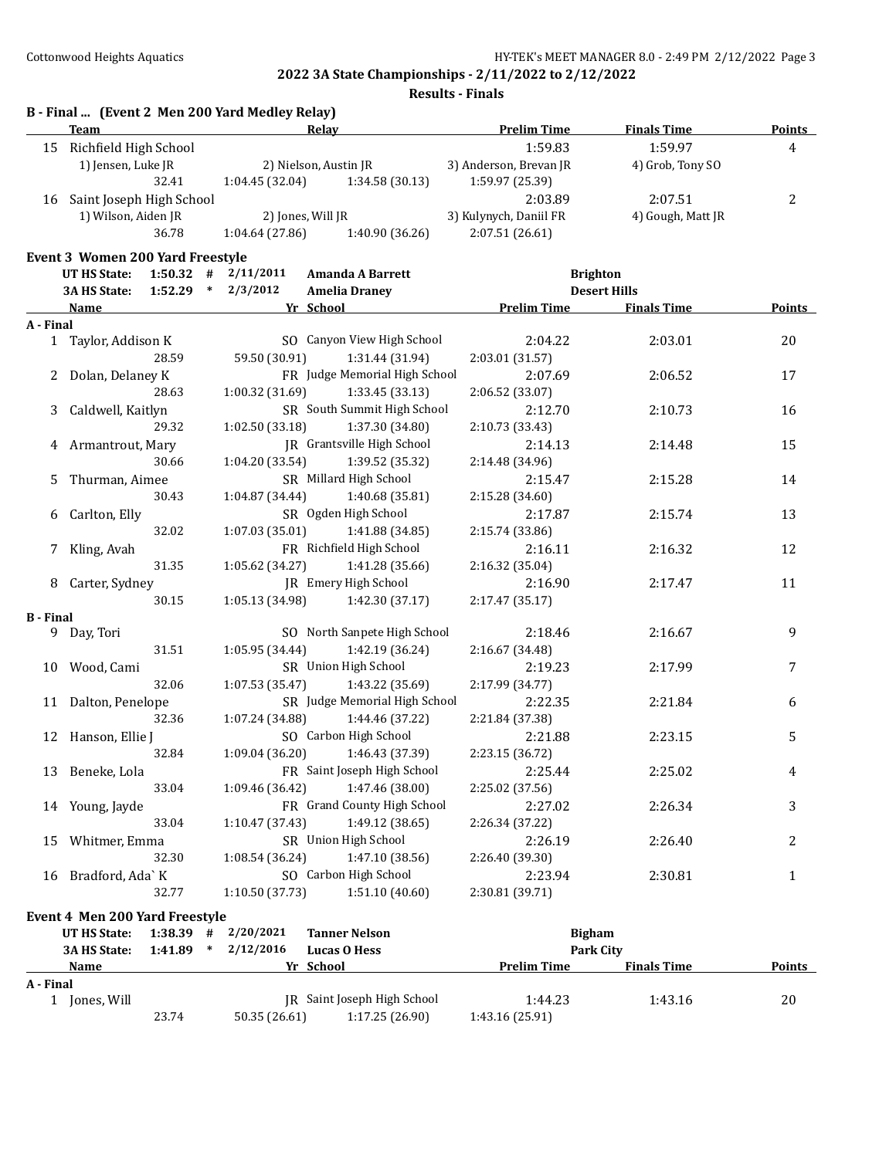**Results - Finals**

|                  | Team                                           |                         | Relay                         | <b>Prelim Time</b>     | <b>Finals Time</b>  | <b>Points</b> |
|------------------|------------------------------------------------|-------------------------|-------------------------------|------------------------|---------------------|---------------|
|                  | 15 Richfield High School                       |                         |                               | 1:59.83                | 1:59.97             | 4             |
|                  | 1) Jensen, Luke JR                             |                         | 2) Nielson, Austin JR         | 3) Anderson, Brevan JR | 4) Grob, Tony SO    |               |
|                  | 32.41                                          | 1:04.45(32.04)          | 1:34.58 (30.13)               | 1:59.97 (25.39)        |                     |               |
|                  | 16 Saint Joseph High School                    |                         |                               | 2:03.89                | 2:07.51             | 2             |
|                  | 1) Wilson, Aiden JR                            |                         | 2) Jones, Will JR             | 3) Kulynych, Daniil FR | 4) Gough, Matt JR   |               |
|                  | 36.78                                          | 1:04.64(27.86)          | 1:40.90 (36.26)               | 2:07.51(26.61)         |                     |               |
|                  | <b>Event 3 Women 200 Yard Freestyle</b>        |                         |                               |                        |                     |               |
|                  | <b>UT HS State:</b>                            | $1:50.32$ # $2/11/2011$ | <b>Amanda A Barrett</b>       |                        | <b>Brighton</b>     |               |
|                  | $1:52.29$ *<br>3A HS State:                    | 2/3/2012                | <b>Amelia Draney</b>          |                        | <b>Desert Hills</b> |               |
|                  | Name                                           |                         | Yr School                     | <b>Prelim Time</b>     | <b>Finals Time</b>  | <b>Points</b> |
| A - Final        |                                                |                         |                               |                        |                     |               |
|                  | 1 Taylor, Addison K                            |                         | SO Canyon View High School    | 2:04.22                | 2:03.01             | 20            |
|                  | 28.59                                          | 59.50 (30.91)           | 1:31.44 (31.94)               | 2:03.01 (31.57)        |                     |               |
| 2                | Dolan, Delaney K                               |                         | FR Judge Memorial High School | 2:07.69                | 2:06.52             | 17            |
|                  | 28.63                                          | 1:00.32 (31.69)         | 1:33.45 (33.13)               | 2:06.52 (33.07)        |                     |               |
| 3                | Caldwell, Kaitlyn                              |                         | SR South Summit High School   | 2:12.70                | 2:10.73             | 16            |
|                  | 29.32                                          | 1:02.50 (33.18)         | 1:37.30 (34.80)               | 2:10.73 (33.43)        |                     |               |
| 4                | Armantrout, Mary                               |                         | JR Grantsville High School    | 2:14.13                | 2:14.48             | 15            |
|                  | 30.66                                          | 1:04.20 (33.54)         | 1:39.52 (35.32)               | 2:14.48 (34.96)        |                     |               |
| 5.               | Thurman, Aimee                                 |                         | SR Millard High School        | 2:15.47                | 2:15.28             | 14            |
|                  | 30.43                                          | 1:04.87 (34.44)         | 1:40.68 (35.81)               | 2:15.28 (34.60)        |                     |               |
| 6                | Carlton, Elly                                  |                         | SR Ogden High School          | 2:17.87                | 2:15.74             | 13            |
|                  | 32.02                                          | 1:07.03 (35.01)         | 1:41.88 (34.85)               | 2:15.74 (33.86)        |                     |               |
| 7                | Kling, Avah                                    |                         | FR Richfield High School      | 2:16.11                | 2:16.32             | 12            |
|                  | 31.35                                          | 1:05.62 (34.27)         | 1:41.28 (35.66)               | 2:16.32 (35.04)        |                     |               |
| 8                | Carter, Sydney                                 |                         | <b>IR</b> Emery High School   | 2:16.90                | 2:17.47             | 11            |
|                  | 30.15                                          | 1:05.13 (34.98)         | 1:42.30 (37.17)               | 2:17.47 (35.17)        |                     |               |
| <b>B</b> - Final |                                                |                         |                               |                        |                     |               |
|                  | 9 Day, Tori                                    |                         | SO North Sanpete High School  | 2:18.46                | 2:16.67             | 9             |
|                  | 31.51                                          | 1:05.95 (34.44)         | 1:42.19 (36.24)               | 2:16.67 (34.48)        |                     |               |
|                  | 10 Wood, Cami                                  |                         | SR Union High School          | 2:19.23                | 2:17.99             | 7             |
|                  | 32.06                                          | 1:07.53(35.47)          | 1:43.22 (35.69)               | 2:17.99 (34.77)        |                     |               |
|                  | 11 Dalton, Penelope                            |                         | SR Judge Memorial High School | 2:22.35                | 2:21.84             | 6             |
|                  | 32.36                                          | 1:07.24 (34.88)         | 1:44.46 (37.22)               | 2:21.84 (37.38)        |                     |               |
|                  | 12 Hanson, Ellie J                             |                         | SO Carbon High School         | 2:21.88                | 2:23.15             | 5             |
|                  | 32.84                                          | 1:09.04 (36.20)         | 1:46.43 (37.39)               | 2:23.15 (36.72)        |                     |               |
|                  | 13 Beneke, Lola                                |                         | FR Saint Joseph High School   | 2:25.44                | 2:25.02             | 4             |
|                  | 33.04                                          | 1:09.46 (36.42)         | 1:47.46 (38.00)               | 2:25.02 (37.56)        |                     |               |
|                  | 14 Young, Jayde                                |                         | FR Grand County High School   | 2:27.02                | 2:26.34             | 3             |
|                  | 33.04                                          | 1:10.47 (37.43)         | 1:49.12 (38.65)               | 2:26.34 (37.22)        |                     |               |
| 15               | Whitmer, Emma                                  |                         | SR Union High School          | 2:26.19                | 2:26.40             | 2             |
|                  | 32.30                                          | 1:08.54 (36.24)         | 1:47.10 (38.56)               | 2:26.40 (39.30)        |                     |               |
| 16               | Bradford, Ada` K                               |                         | SO Carbon High School         | 2:23.94                | 2:30.81             | 1             |
|                  | 32.77                                          | 1:10.50 (37.73)         | 1:51.10 (40.60)               | 2:30.81 (39.71)        |                     |               |
|                  |                                                |                         |                               |                        |                     |               |
|                  | Event 4 Men 200 Yard Freestyle<br>UT HS State: | $1:38.39$ # $2/20/2021$ | <b>Tanner Nelson</b>          | <b>Bigham</b>          |                     |               |
|                  | 3A HS State:<br>$1:41.89$ *                    | 2/12/2016               | <b>Lucas O Hess</b>           |                        | <b>Park City</b>    |               |
|                  | Name                                           |                         | Yr School                     | <b>Prelim Time</b>     | <b>Finals Time</b>  | <b>Points</b> |

1 Jones, Will JR Saint Joseph High School 1:44.23 1:43.16 20<br>23.74 50.35 (26.61) 1:17.25 (26.90) 1:43.16 (25.91)

23.74 50.35 (26.61) 1:17.25 (26.90) 1:43.16 (25.91)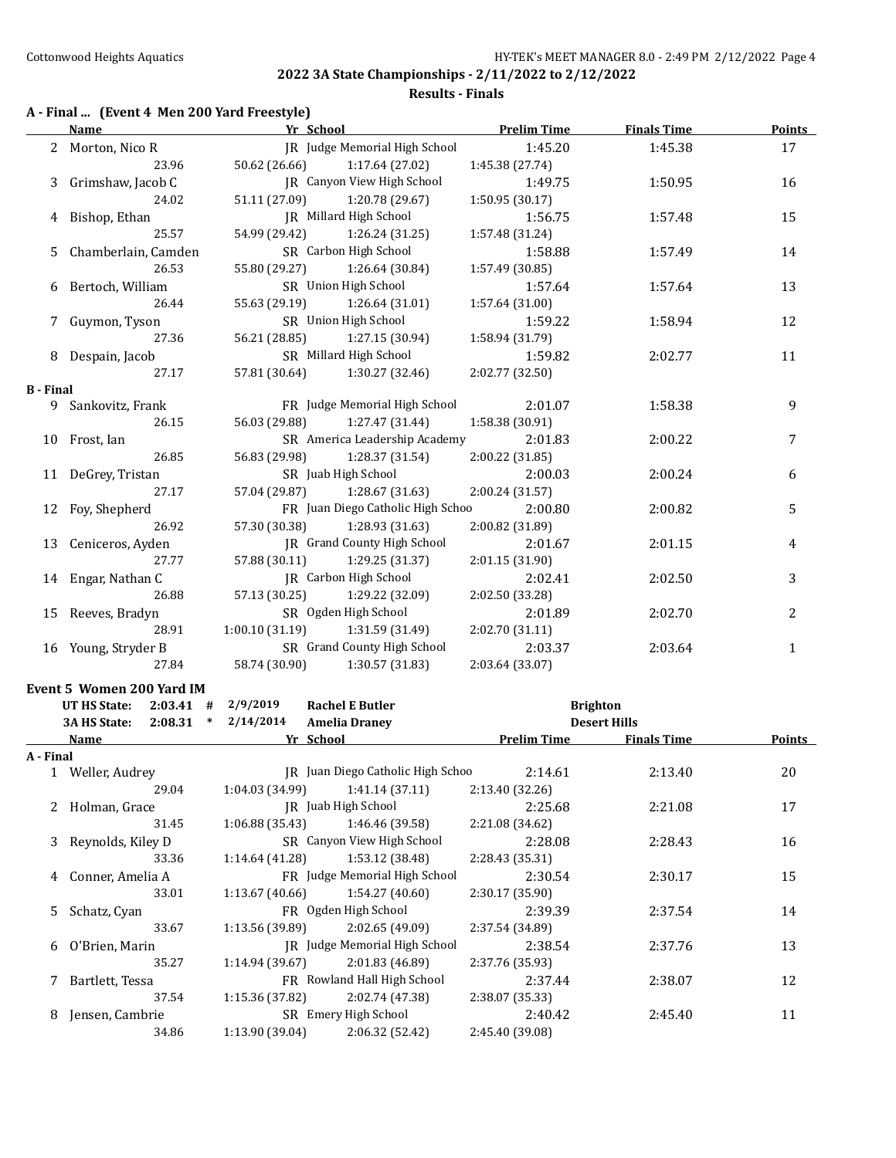#### **Results - Finals**

## **A - Final ... (Event 4 Men 200 Yard Freestyle)**

|                  | <b>Name</b>                        | Yr School                       |                                   | <b>Prelim Time</b> | <b>Finals Time</b>  | <b>Points</b> |
|------------------|------------------------------------|---------------------------------|-----------------------------------|--------------------|---------------------|---------------|
|                  | 2 Morton, Nico R                   |                                 | JR Judge Memorial High School     | 1:45.20            | 1:45.38             | 17            |
|                  | 23.96                              | 50.62 (26.66)                   | 1:17.64 (27.02)                   | 1:45.38 (27.74)    |                     |               |
| 3                | Grimshaw, Jacob C                  |                                 | <b>IR</b> Canyon View High School | 1:49.75            | 1:50.95             | 16            |
|                  | 24.02                              | 51.11 (27.09)                   | 1:20.78 (29.67)                   | 1:50.95 (30.17)    |                     |               |
| 4                | Bishop, Ethan                      |                                 | JR Millard High School            | 1:56.75            | 1:57.48             | 15            |
|                  | 25.57                              | 54.99 (29.42)                   | 1:26.24 (31.25)                   | 1:57.48 (31.24)    |                     |               |
| 5                | Chamberlain, Camden                |                                 | SR Carbon High School             | 1:58.88            | 1:57.49             | 14            |
|                  | 26.53                              | 55.80 (29.27)                   | 1:26.64 (30.84)                   | 1:57.49 (30.85)    |                     |               |
| 6                | Bertoch, William                   |                                 | SR Union High School              | 1:57.64            | 1:57.64             | 13            |
|                  | 26.44                              | 55.63 (29.19)                   | 1:26.64(31.01)                    | 1:57.64 (31.00)    |                     |               |
|                  | 7 Guymon, Tyson                    |                                 | SR Union High School              | 1:59.22            | 1:58.94             | 12            |
|                  | 27.36                              | 56.21 (28.85)                   | 1:27.15 (30.94)                   | 1:58.94 (31.79)    |                     |               |
|                  | 8 Despain, Jacob                   |                                 | SR Millard High School            | 1:59.82            | 2:02.77             | 11            |
|                  | 27.17                              | 57.81 (30.64)                   | 1:30.27 (32.46)                   | 2:02.77 (32.50)    |                     |               |
| <b>B</b> - Final |                                    |                                 |                                   |                    |                     |               |
|                  | 9 Sankovitz, Frank                 |                                 | FR Judge Memorial High School     | 2:01.07            | 1:58.38             | 9             |
|                  | 26.15                              | 56.03 (29.88)                   | 1:27.47 (31.44)                   | 1:58.38 (30.91)    |                     |               |
|                  | 10 Frost, Ian                      |                                 | SR America Leadership Academy     | 2:01.83            | 2:00.22             | 7             |
|                  | 26.85                              | 56.83 (29.98)                   | 1:28.37 (31.54)                   | 2:00.22 (31.85)    |                     |               |
|                  | 11 DeGrey, Tristan                 |                                 | SR Juab High School               | 2:00.03            | 2:00.24             | 6             |
|                  | 27.17                              | 57.04 (29.87)                   | 1:28.67 (31.63)                   | 2:00.24 (31.57)    |                     |               |
|                  | 12 Foy, Shepherd                   |                                 | FR Juan Diego Catholic High Schoo | 2:00.80            | 2:00.82             | 5             |
|                  | 26.92                              | 57.30 (30.38)                   | 1:28.93 (31.63)                   | 2:00.82 (31.89)    |                     |               |
|                  | 13 Ceniceros, Ayden                |                                 | JR Grand County High School       | 2:01.67            | 2:01.15             | 4             |
|                  | 27.77                              | 57.88 (30.11)                   | 1:29.25 (31.37)                   | 2:01.15(31.90)     |                     |               |
|                  | 14 Engar, Nathan C                 |                                 | JR Carbon High School             | 2:02.41            | 2:02.50             | 3             |
|                  | 26.88                              | 57.13 (30.25)                   | 1:29.22 (32.09)                   | 2:02.50 (33.28)    |                     |               |
|                  | 15 Reeves, Bradyn                  |                                 | SR Ogden High School              | 2:01.89            | 2:02.70             | 2             |
|                  | 28.91                              | 1:00.10 (31.19) 1:31.59 (31.49) |                                   | 2:02.70 (31.11)    |                     |               |
|                  | 16 Young, Stryder B                |                                 | SR Grand County High School       | 2:03.37            | 2:03.64             | $\mathbf{1}$  |
|                  | 27.84                              | 58.74 (30.90)                   | 1:30.57 (31.83)                   | 2:03.64 (33.07)    |                     |               |
|                  | Event 5 Women 200 Yard IM          |                                 |                                   |                    |                     |               |
|                  | <b>UT HS State:</b><br>$2:03.41$ # | 2/9/2019                        | <b>Rachel E Butler</b>            |                    | <b>Brighton</b>     |               |
|                  | 3A HS State:<br>$2:08.31$ *        | 2/14/2014                       | <b>Amelia Draney</b>              |                    | <b>Desert Hills</b> |               |
|                  | Name                               | Yr School                       |                                   | <b>Prelim Time</b> | <b>Finals Time</b>  | Points        |
| A - Final        |                                    |                                 |                                   |                    |                     |               |
|                  | 1 Weller, Audrey                   |                                 | JR Juan Diego Catholic High Schoo | 2:14.61            | 2:13.40             | 20            |
|                  | 29.04                              | 1:04.03 (34.99)                 | 1:41.14 (37.11)                   | 2:13.40 (32.26)    |                     |               |
| 2                | Holman, Grace                      |                                 | JR Juab High School               | 2:25.68            | 2:21.08             | 17            |
|                  | 31.45                              | 1:06.88 (35.43)                 | 1:46.46 (39.58)                   | 2:21.08 (34.62)    |                     |               |
| 3                | Reynolds, Kiley D                  |                                 | SR Canyon View High School        | 2:28.08            | 2:28.43             | 16            |
|                  | 33.36                              | 1:14.64 (41.28)                 | 1:53.12 (38.48)                   | 2:28.43 (35.31)    |                     |               |
| 4                | Conner, Amelia A                   |                                 | FR Judge Memorial High School     | 2:30.54            | 2:30.17             | 15            |
|                  | 33.01                              | 1:13.67 (40.66)                 | 1:54.27 (40.60)                   | 2:30.17 (35.90)    |                     |               |
| 5                | Schatz, Cyan                       |                                 | FR Ogden High School              | 2:39.39            | 2:37.54             | 14            |
|                  | 33.67                              | 1:13.56 (39.89)                 | 2:02.65 (49.09)                   | 2:37.54 (34.89)    |                     |               |
|                  | 6 O'Brien, Marin                   |                                 | JR Judge Memorial High School     | 2:38.54            | 2:37.76             | 13            |

35.27 1:14.94 (39.67) 2:01.83 (46.89) 2:37.76 (35.93) 7 Bartlett, Tessa FR Rowland Hall High School 2:37.44 2:38.07 12

37.54 1:15.36 (37.82) 2:02.74 (47.38) 2:38.07 (35.33)

8 Jensen, Cambrie SR Emery High School 2:40.42 2:45.40 11 34.86 1:13.90 (39.04) 2:06.32 (52.42) 2:45.40 (39.08)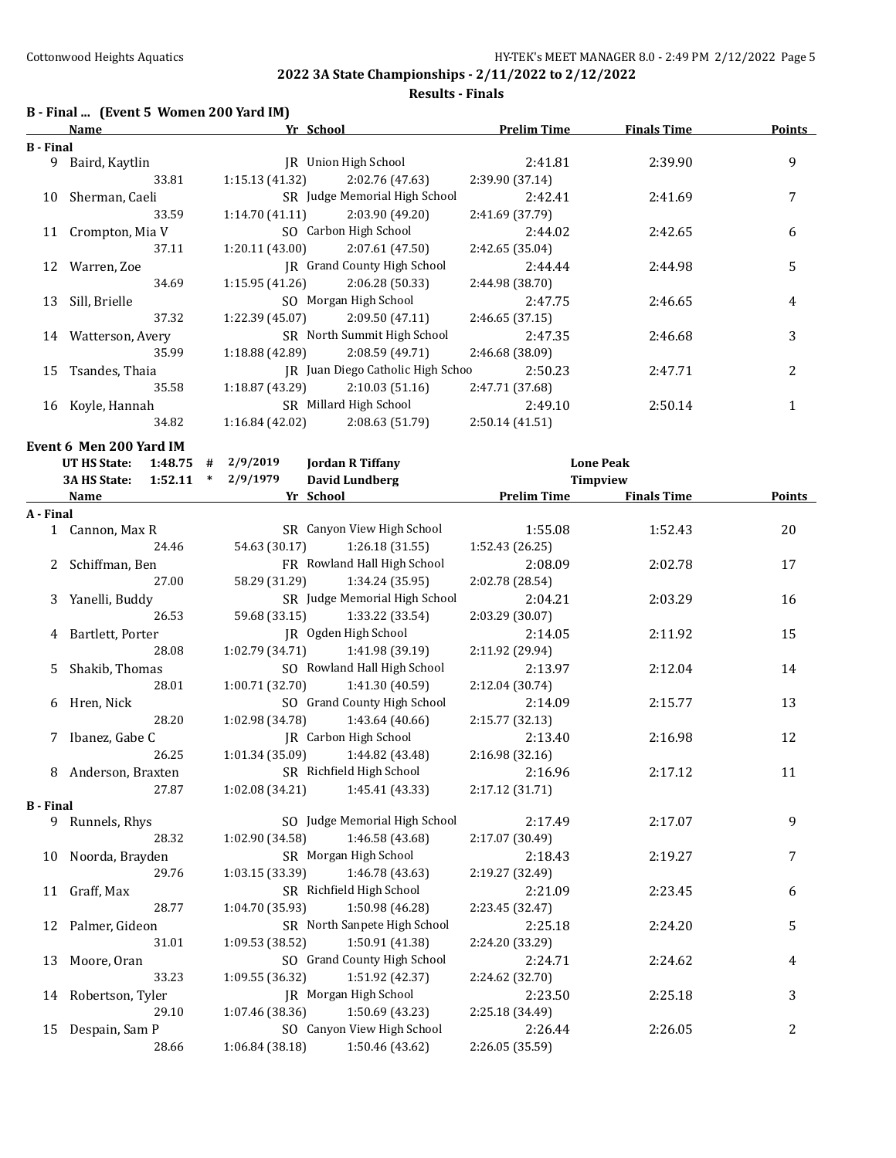**Results - Finals**

# **B - Final ... (Event 5 Women 200 Yard IM)**

|                  | Name                    | Yr School                                   | <b>Prelim Time</b> | <b>Finals Time</b> | <b>Points</b> |
|------------------|-------------------------|---------------------------------------------|--------------------|--------------------|---------------|
| <b>B</b> - Final |                         |                                             |                    |                    |               |
| 9                | Baird, Kaytlin          | JR Union High School                        | 2:41.81            | 2:39.90            | 9             |
|                  | 33.81                   | 1:15.13 (41.32)<br>2:02.76 (47.63)          | 2:39.90 (37.14)    |                    |               |
|                  | 10 Sherman, Caeli       | SR Judge Memorial High School               | 2:42.41            | 2:41.69            | 7             |
|                  | 33.59                   | 1:14.70(41.11)<br>2:03.90 (49.20)           | 2:41.69 (37.79)    |                    |               |
|                  | 11 Crompton, Mia V      | SO Carbon High School                       | 2:44.02            | 2:42.65            | 6             |
|                  | 37.11                   | 1:20.11(43.00)<br>2:07.61 (47.50)           | 2:42.65 (35.04)    |                    |               |
|                  | 12 Warren, Zoe          | JR Grand County High School                 | 2:44.44            | 2:44.98            | 5             |
|                  | 34.69                   | 1:15.95(41.26)<br>2:06.28 (50.33)           | 2:44.98 (38.70)    |                    |               |
| 13               | Sill, Brielle           | SO Morgan High School                       | 2:47.75            | 2:46.65            | 4             |
|                  | 37.32                   | 1:22.39 (45.07)<br>2:09.50 (47.11)          | 2:46.65 (37.15)    |                    |               |
|                  | 14 Watterson, Avery     | SR North Summit High School                 | 2:47.35            | 2:46.68            | 3             |
|                  | 35.99                   | 1:18.88 (42.89)<br>2:08.59 (49.71)          |                    |                    |               |
|                  |                         | JR Juan Diego Catholic High Schoo           | 2:46.68 (38.09)    |                    |               |
|                  | 15 Tsandes, Thaia       |                                             | 2:50.23            | 2:47.71            | 2             |
|                  | 35.58                   | 1:18.87 (43.29)<br>2:10.03(51.16)           | 2:47.71 (37.68)    |                    |               |
|                  | 16 Koyle, Hannah        | SR Millard High School                      | 2:49.10            | 2:50.14            | $\mathbf{1}$  |
|                  | 34.82                   | $1:16.84(42.02)$ $2:08.63(51.79)$           | 2:50.14 (41.51)    |                    |               |
|                  | Event 6 Men 200 Yard IM |                                             |                    |                    |               |
|                  | UT HS State:<br>1:48.75 | 2/9/2019<br><b>Jordan R Tiffany</b><br>#    |                    | <b>Lone Peak</b>   |               |
|                  | 1:52.11<br>3A HS State: | <b>David Lundberg</b><br>2/9/1979<br>$\ast$ |                    | <b>Timpview</b>    |               |
|                  | <b>Name</b>             | Yr School                                   | <b>Prelim Time</b> | <b>Finals Time</b> | <b>Points</b> |
| A - Final        |                         |                                             |                    |                    |               |
|                  | 1 Cannon, Max R         | SR Canyon View High School                  | 1:55.08            | 1:52.43            | 20            |
|                  | 24.46                   | 54.63 (30.17)<br>1:26.18 (31.55)            | 1:52.43 (26.25)    |                    |               |
|                  | 2 Schiffman, Ben        | FR Rowland Hall High School                 | 2:08.09            | 2:02.78            | 17            |
|                  | 27.00                   | 58.29 (31.29)<br>1:34.24 (35.95)            | 2:02.78 (28.54)    |                    |               |
|                  | 3 Yanelli, Buddy        | SR Judge Memorial High School               | 2:04.21            | 2:03.29            | 16            |
|                  | 26.53                   | 59.68 (33.15)<br>1:33.22 (33.54)            | 2:03.29 (30.07)    |                    |               |
| 4                | Bartlett, Porter        | JR Ogden High School                        | 2:14.05            | 2:11.92            | 15            |
|                  | 28.08                   | 1:02.79 (34.71)<br>1:41.98 (39.19)          | 2:11.92 (29.94)    |                    |               |
| 5.               | Shakib, Thomas          | SO Rowland Hall High School                 | 2:13.97            | 2:12.04            | 14            |
|                  | 28.01                   | 1:00.71(32.70)<br>1:41.30 (40.59)           | 2:12.04 (30.74)    |                    |               |
|                  | 6 Hren, Nick            | SO Grand County High School                 | 2:14.09            | 2:15.77            | 13            |
|                  | 28.20                   | 1:02.98 (34.78)<br>1:43.64 (40.66)          | 2:15.77 (32.13)    |                    |               |
|                  | 7 Ibanez, Gabe C        | JR Carbon High School                       | 2:13.40            | 2:16.98            | 12            |
|                  | 26.25                   | 1:01.34 (35.09)<br>1:44.82 (43.48)          | 2:16.98 (32.16)    |                    |               |
|                  | 8 Anderson, Braxten     | SR Richfield High School                    | 2:16.96            | 2:17.12            | 11            |
|                  | 27.87                   | 1:02.08 (34.21)<br>1:45.41 (43.33)          | 2:17.12 (31.71)    |                    |               |
| <b>B</b> - Final |                         |                                             |                    |                    |               |
| 9                | Runnels, Rhys           | SO Judge Memorial High School               | 2:17.49            | 2:17.07            | 9             |
|                  | 28.32                   | 1:46.58 (43.68)<br>1:02.90 (34.58)          | 2:17.07 (30.49)    |                    |               |
| 10               | Noorda, Brayden         | SR Morgan High School                       | 2:18.43            | 2:19.27            | 7             |
|                  | 29.76                   | 1:03.15 (33.39)<br>1:46.78 (43.63)          | 2:19.27 (32.49)    |                    |               |
|                  | 11 Graff, Max           | SR Richfield High School                    |                    |                    |               |
|                  |                         | 1:04.70 (35.93)                             | 2:21.09            | 2:23.45            | 6             |
|                  | 28.77                   | 1:50.98 (46.28)                             | 2:23.45 (32.47)    |                    |               |
| 12               | Palmer, Gideon          | SR North Sanpete High School                | 2:25.18            | 2:24.20            | 5             |
|                  | 31.01                   | 1:50.91 (41.38)<br>1:09.53 (38.52)          | 2:24.20 (33.29)    |                    |               |
| 13               | Moore, Oran             | SO Grand County High School                 | 2:24.71            | 2:24.62            | 4             |
|                  | 33.23                   | 1:09.55 (36.32)<br>1:51.92 (42.37)          | 2:24.62 (32.70)    |                    |               |
|                  | 14 Robertson, Tyler     | JR Morgan High School                       | 2:23.50            | 2:25.18            | 3             |
|                  | 29.10                   | 1:07.46 (38.36)<br>1:50.69 (43.23)          | 2:25.18 (34.49)    |                    |               |
| 15               | Despain, Sam P          | SO Canyon View High School                  | 2:26.44            | 2:26.05            | 2             |
|                  | 28.66                   | 1:06.84 (38.18)<br>1:50.46 (43.62)          | 2:26.05 (35.59)    |                    |               |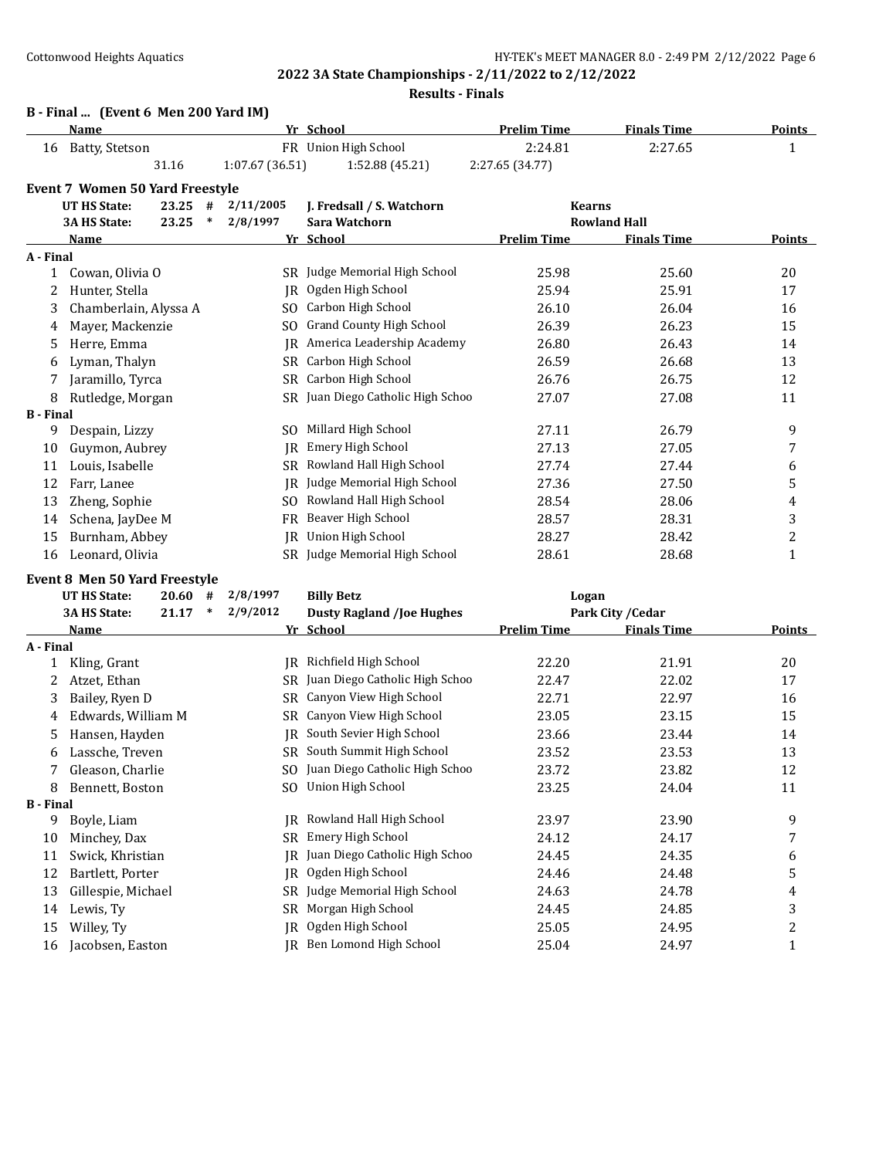#### **Results - Finals**

# **B - Final ... (Event 6 Men 200 Yard IM)**

|                  | <b>Name</b>                            |           |        |                 | Yr School                         | <b>Prelim Time</b> | <b>Finals Time</b>  | <b>Points</b>  |
|------------------|----------------------------------------|-----------|--------|-----------------|-----------------------------------|--------------------|---------------------|----------------|
| 16               | Batty, Stetson                         |           |        |                 | FR Union High School              | 2:24.81            | 2:27.65             | $\mathbf{1}$   |
|                  |                                        | 31.16     |        | 1:07.67 (36.51) | 1:52.88 (45.21)                   | 2:27.65 (34.77)    |                     |                |
|                  | <b>Event 7 Women 50 Yard Freestyle</b> |           |        |                 |                                   |                    |                     |                |
|                  | <b>UT HS State:</b>                    | $23.25$ # |        | 2/11/2005       | J. Fredsall / S. Watchorn         | <b>Kearns</b>      |                     |                |
|                  | <b>3A HS State:</b>                    | 23.25     | $\ast$ | 2/8/1997        | Sara Watchorn                     |                    | <b>Rowland Hall</b> |                |
|                  | Name                                   |           |        |                 | Yr School                         | <b>Prelim Time</b> | <b>Finals Time</b>  | <b>Points</b>  |
| A - Final        |                                        |           |        |                 |                                   |                    |                     |                |
| 1                | Cowan, Olivia O                        |           |        |                 | SR Judge Memorial High School     | 25.98              | 25.60               | 20             |
| 2                | Hunter, Stella                         |           |        | IR              | Ogden High School                 | 25.94              | 25.91               | 17             |
| 3                | Chamberlain, Alyssa A                  |           |        | SO.             | Carbon High School                | 26.10              | 26.04               | 16             |
| 4                | Mayer, Mackenzie                       |           |        | SO.             | <b>Grand County High School</b>   | 26.39              | 26.23               | 15             |
| 5.               | Herre, Emma                            |           |        | IR.             | America Leadership Academy        | 26.80              | 26.43               | 14             |
| 6                | Lyman, Thalyn                          |           |        | <b>SR</b>       | Carbon High School                | 26.59              | 26.68               | 13             |
| 7                | Jaramillo, Tyrca                       |           |        | SR              | Carbon High School                | 26.76              | 26.75               | 12             |
| 8                | Rutledge, Morgan                       |           |        |                 | SR Juan Diego Catholic High Schoo | 27.07              | 27.08               | 11             |
| <b>B</b> - Final |                                        |           |        |                 |                                   |                    |                     |                |
| 9                | Despain, Lizzy                         |           |        | SO.             | Millard High School               | 27.11              | 26.79               | 9              |
| 10               | Guymon, Aubrey                         |           |        | IR              | <b>Emery High School</b>          | 27.13              | 27.05               | 7              |
| 11               | Louis, Isabelle                        |           |        | SR.             | Rowland Hall High School          | 27.74              | 27.44               | 6              |
| 12               | Farr, Lanee                            |           |        | IR.             | Judge Memorial High School        | 27.36              | 27.50               | 5              |
| 13               | Zheng, Sophie                          |           |        | SO.             | Rowland Hall High School          | 28.54              | 28.06               | 4              |
| 14               | Schena, JayDee M                       |           |        | FR.             | Beaver High School                | 28.57              | 28.31               | 3              |
| 15               | Burnham, Abbey                         |           |        | IR              | Union High School                 | 28.27              | 28.42               | $\overline{c}$ |
| 16               | Leonard, Olivia                        |           |        | SR.             | Judge Memorial High School        | 28.61              | 28.68               | $\mathbf 1$    |
|                  | <b>Event 8 Men 50 Yard Freestyle</b>   |           |        |                 |                                   |                    |                     |                |

|                  | <b>UT HS State:</b> | 20.60 | #      | 2/8/1997 | <b>Billy Betz</b>                | Logan              |                    |               |
|------------------|---------------------|-------|--------|----------|----------------------------------|--------------------|--------------------|---------------|
|                  | 3A HS State:        | 21.17 | $\ast$ | 2/9/2012 | <b>Dusty Ragland /Joe Hughes</b> |                    | Park City / Cedar  |               |
|                  | Name                |       |        |          | Yr School                        | <b>Prelim Time</b> | <b>Finals Time</b> | <b>Points</b> |
| A - Final        |                     |       |        |          |                                  |                    |                    |               |
|                  | Kling, Grant        |       |        | IR       | Richfield High School            | 22.20              | 21.91              | 20            |
| 2                | Atzet, Ethan        |       |        | SR       | Juan Diego Catholic High Schoo   | 22.47              | 22.02              | 17            |
| 3                | Bailey, Ryen D      |       |        | SR       | Canyon View High School          | 22.71              | 22.97              | 16            |
| 4                | Edwards, William M  |       |        | SR       | Canyon View High School          | 23.05              | 23.15              | 15            |
| 5                | Hansen, Hayden      |       |        | IR       | South Sevier High School         | 23.66              | 23.44              | 14            |
| 6                | Lassche, Treven     |       |        | SR       | South Summit High School         | 23.52              | 23.53              | 13            |
|                  | Gleason, Charlie    |       |        | SO.      | Juan Diego Catholic High Schoo   | 23.72              | 23.82              | 12            |
| 8                | Bennett, Boston     |       |        | SO.      | Union High School                | 23.25              | 24.04              | 11            |
| <b>B</b> - Final |                     |       |        |          |                                  |                    |                    |               |
| 9                | Boyle, Liam         |       |        | IR       | Rowland Hall High School         | 23.97              | 23.90              | 9             |
| 10               | Minchey, Dax        |       |        | SR       | Emery High School                | 24.12              | 24.17              | 7             |
| 11               | Swick, Khristian    |       |        | IR.      | Juan Diego Catholic High Schoo   | 24.45              | 24.35              | 6             |
| 12               | Bartlett, Porter    |       |        | IR       | Ogden High School                | 24.46              | 24.48              | 5             |
| 13               | Gillespie, Michael  |       |        | SR       | Judge Memorial High School       | 24.63              | 24.78              | 4             |
| 14               | Lewis, Ty           |       |        | SR       | Morgan High School               | 24.45              | 24.85              | 3             |
| 15               | Willey, Ty          |       |        | IR       | Ogden High School                | 25.05              | 24.95              | 2             |
| 16               | Jacobsen, Easton    |       |        | IR-      | Ben Lomond High School           | 25.04              | 24.97              | 1             |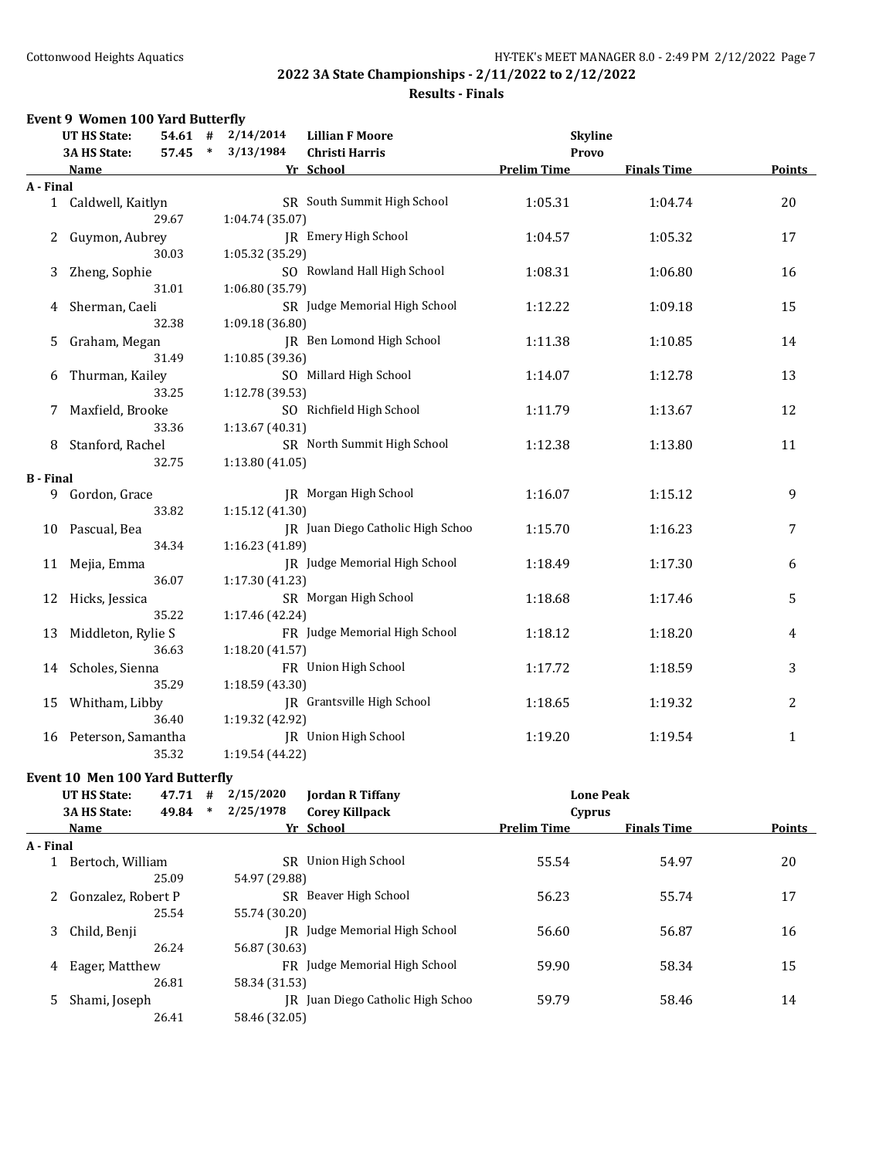# **Results - Finals**

|                  | Event 9 Women 100 Yard Butterfly |           |        |                 |                                   |                    |                    |              |
|------------------|----------------------------------|-----------|--------|-----------------|-----------------------------------|--------------------|--------------------|--------------|
|                  | <b>UT HS State:</b>              | $54.61$ # |        | 2/14/2014       | <b>Lillian F Moore</b>            | <b>Skyline</b>     |                    |              |
|                  | 3A HS State:                     | 57.45     | $\ast$ | 3/13/1984       | <b>Christi Harris</b>             | <b>Provo</b>       |                    |              |
|                  | <b>Name</b>                      |           |        |                 | Yr School                         | <b>Prelim Time</b> | <b>Finals Time</b> | Points       |
| A - Final        |                                  |           |        |                 |                                   |                    |                    |              |
|                  | 1 Caldwell, Kaitlyn              |           |        |                 | SR South Summit High School       | 1:05.31            | 1:04.74            | 20           |
|                  |                                  | 29.67     |        | 1:04.74 (35.07) |                                   |                    |                    |              |
| $\mathbf{2}$     | Guymon, Aubrey                   |           |        |                 | JR Emery High School              | 1:04.57            | 1:05.32            | 17           |
|                  |                                  | 30.03     |        | 1:05.32 (35.29) |                                   |                    |                    |              |
| 3                | Zheng, Sophie                    |           |        |                 | SO Rowland Hall High School       | 1:08.31            | 1:06.80            | 16           |
|                  |                                  | 31.01     |        | 1:06.80 (35.79) |                                   |                    |                    |              |
| 4                | Sherman, Caeli                   |           |        |                 | SR Judge Memorial High School     | 1:12.22            | 1:09.18            | 15           |
|                  |                                  | 32.38     |        | 1:09.18 (36.80) |                                   |                    |                    |              |
| 5                | Graham, Megan                    |           |        |                 | JR Ben Lomond High School         | 1:11.38            | 1:10.85            | 14           |
|                  |                                  | 31.49     |        | 1:10.85 (39.36) |                                   |                    |                    |              |
| 6                | Thurman, Kailey                  |           |        |                 | SO Millard High School            | 1:14.07            | 1:12.78            | 13           |
|                  |                                  | 33.25     |        | 1:12.78 (39.53) |                                   |                    |                    |              |
| 7                | Maxfield, Brooke                 |           |        |                 | SO Richfield High School          | 1:11.79            | 1:13.67            | 12           |
|                  |                                  | 33.36     |        | 1:13.67 (40.31) |                                   |                    |                    |              |
| 8                | Stanford, Rachel                 |           |        |                 | SR North Summit High School       | 1:12.38            | 1:13.80            | 11           |
|                  |                                  | 32.75     |        | 1:13.80(41.05)  |                                   |                    |                    |              |
| <b>B</b> - Final |                                  |           |        |                 |                                   |                    |                    |              |
| 9                | Gordon, Grace                    |           |        |                 | <b>IR</b> Morgan High School      | 1:16.07            | 1:15.12            | 9            |
|                  |                                  | 33.82     |        | 1:15.12 (41.30) |                                   |                    |                    |              |
| 10               | Pascual, Bea                     |           |        |                 | IR Juan Diego Catholic High Schoo | 1:15.70            | 1:16.23            | 7            |
|                  |                                  | 34.34     |        | 1:16.23 (41.89) |                                   |                    |                    |              |
| 11               | Mejia, Emma                      |           |        |                 | JR Judge Memorial High School     | 1:18.49            | 1:17.30            | 6            |
|                  |                                  | 36.07     |        | 1:17.30 (41.23) |                                   |                    |                    |              |
| 12               | Hicks, Jessica                   |           |        |                 | SR Morgan High School             | 1:18.68            | 1:17.46            | 5            |
|                  |                                  | 35.22     |        | 1:17.46 (42.24) |                                   |                    |                    |              |
| 13               | Middleton, Rylie S               |           |        |                 | FR Judge Memorial High School     | 1:18.12            | 1:18.20            | 4            |
|                  |                                  | 36.63     |        | 1:18.20 (41.57) |                                   |                    |                    |              |
|                  | 14 Scholes, Sienna               |           |        |                 | FR Union High School              | 1:17.72            | 1:18.59            | 3            |
|                  |                                  | 35.29     |        | 1:18.59 (43.30) |                                   |                    |                    |              |
| 15               | Whitham, Libby                   |           |        |                 | IR Grantsville High School        | 1:18.65            | 1:19.32            | 2            |
|                  |                                  | 36.40     |        | 1:19.32 (42.92) |                                   |                    |                    |              |
| 16               | Peterson, Samantha               |           |        |                 | <b>JR</b> Union High School       | 1:19.20            | 1:19.54            | $\mathbf{1}$ |
|                  |                                  | 35.32     |        | 1:19.54 (44.22) |                                   |                    |                    |              |

## **Event 10 Men 100 Yard Butterfly**

|           | <b>UT HS State:</b> | 47.71 | #      | 2/15/2020     | <b>Jordan R Tiffany</b>           | <b>Lone Peak</b>   |                    |               |
|-----------|---------------------|-------|--------|---------------|-----------------------------------|--------------------|--------------------|---------------|
|           | <b>3A HS State:</b> | 49.84 | $\ast$ | 2/25/1978     | <b>Corey Killpack</b>             | Cyprus             |                    |               |
|           | Name                |       |        |               | Yr School                         | <b>Prelim Time</b> | <b>Finals Time</b> | <b>Points</b> |
| A - Final |                     |       |        |               |                                   |                    |                    |               |
|           | Bertoch. William    |       |        | SR.           | Union High School                 | 55.54              | 54.97              | 20            |
|           |                     | 25.09 |        | 54.97 (29.88) |                                   |                    |                    |               |
|           | Gonzalez, Robert P  |       |        |               | SR Beaver High School             | 56.23              | 55.74              | 17            |
|           |                     | 25.54 |        | 55.74 (30.20) |                                   |                    |                    |               |
| 3         | Child, Benji        |       |        |               | IR Judge Memorial High School     | 56.60              | 56.87              | 16            |
|           |                     | 26.24 |        | 56.87 (30.63) |                                   |                    |                    |               |
| 4         | Eager, Matthew      |       |        |               | FR Judge Memorial High School     | 59.90              | 58.34              | 15            |
|           |                     | 26.81 |        | 58.34 (31.53) |                                   |                    |                    |               |
| 5.        | Shami, Joseph       |       |        |               | IR Juan Diego Catholic High Schoo | 59.79              | 58.46              | 14            |
|           |                     | 26.41 |        | 58.46 (32.05) |                                   |                    |                    |               |
|           |                     |       |        |               |                                   |                    |                    |               |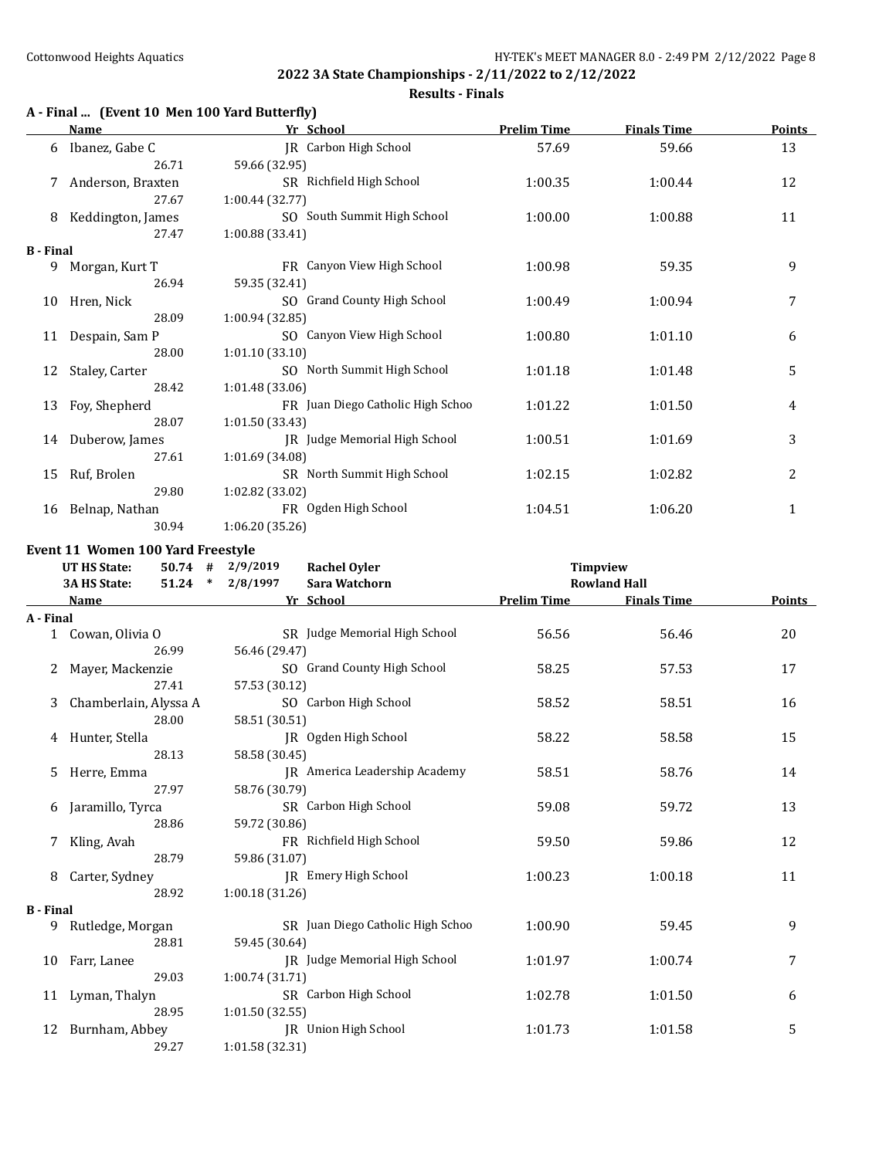# **Results - Finals**

# **A - Final ... (Event 10 Men 100 Yard Butterfly)**

|                  | Name              | Yr School                         | <b>Prelim Time</b> | <b>Finals Time</b> | <b>Points</b> |
|------------------|-------------------|-----------------------------------|--------------------|--------------------|---------------|
| 6                | Ibanez, Gabe C    | JR Carbon High School             | 57.69              | 59.66              | 13            |
|                  | 26.71             | 59.66 (32.95)                     |                    |                    |               |
|                  | Anderson, Braxten | SR Richfield High School          | 1:00.35            | 1:00.44            | 12            |
|                  | 27.67             | 1:00.44(32.77)                    |                    |                    |               |
| 8                | Keddington, James | SO South Summit High School       | 1:00.00            | 1:00.88            | 11            |
|                  | 27.47             | 1:00.88 (33.41)                   |                    |                    |               |
| <b>B</b> - Final |                   |                                   |                    |                    |               |
| 9                | Morgan, Kurt T    | FR Canyon View High School        | 1:00.98            | 59.35              | 9             |
|                  | 26.94             | 59.35 (32.41)                     |                    |                    |               |
| 10               | Hren, Nick        | SO Grand County High School       | 1:00.49            | 1:00.94            | 7             |
|                  | 28.09             | 1:00.94 (32.85)                   |                    |                    |               |
| 11               | Despain, Sam P    | SO Canyon View High School        | 1:00.80            | 1:01.10            | 6             |
|                  | 28.00             | 1:01.10(33.10)                    |                    |                    |               |
| 12               | Staley, Carter    | SO North Summit High School       | 1:01.18            | 1:01.48            | 5             |
|                  | 28.42             | 1:01.48(33.06)                    |                    |                    |               |
| 13               | Foy, Shepherd     | FR Juan Diego Catholic High Schoo | 1:01.22            | 1:01.50            | 4             |
|                  | 28.07             | 1:01.50 (33.43)                   |                    |                    |               |
| 14               | Duberow, James    | JR Judge Memorial High School     | 1:00.51            | 1:01.69            | 3             |
|                  | 27.61             | 1:01.69 (34.08)                   |                    |                    |               |
| 15               | Ruf, Brolen       | SR North Summit High School       | 1:02.15            | 1:02.82            | 2             |
|                  | 29.80             | 1:02.82 (33.02)                   |                    |                    |               |
| 16               | Belnap, Nathan    | FR Ogden High School              | 1:04.51            | 1:06.20            | 1             |
|                  | 30.94             | 1:06.20 (35.26)                   |                    |                    |               |

#### **Event 11 Women 100 Yard Freestyle**

|                  | <b>UT HS State:</b><br>$50.74$ #<br>$51.24$ *<br><b>3A HS State:</b> | 2/9/2019<br>2/8/1997 | <b>Rachel Oyler</b><br>Sara Watchorn | Timpview           | <b>Rowland Hall</b> |        |
|------------------|----------------------------------------------------------------------|----------------------|--------------------------------------|--------------------|---------------------|--------|
|                  | Name                                                                 |                      | Yr School                            | <b>Prelim Time</b> | <b>Finals Time</b>  | Points |
| A - Final        |                                                                      |                      |                                      |                    |                     |        |
|                  | 1 Cowan, Olivia O                                                    |                      | SR Judge Memorial High School        | 56.56              | 56.46               | 20     |
|                  | 26.99                                                                | 56.46 (29.47)        |                                      |                    |                     |        |
| 2                | Mayer, Mackenzie                                                     |                      | SO Grand County High School          | 58.25              | 57.53               | 17     |
|                  | 27.41                                                                | 57.53 (30.12)        |                                      |                    |                     |        |
| 3                | Chamberlain, Alyssa A                                                |                      | SO Carbon High School                | 58.52              | 58.51               | 16     |
|                  | 28.00                                                                | 58.51 (30.51)        |                                      |                    |                     |        |
|                  | Hunter, Stella                                                       |                      | JR Ogden High School                 | 58.22              | 58.58               | 15     |
|                  | 28.13                                                                | 58.58 (30.45)        |                                      |                    |                     |        |
| 5.               | Herre, Emma                                                          |                      | IR America Leadership Academy        | 58.51              | 58.76               | 14     |
|                  | 27.97                                                                | 58.76 (30.79)        |                                      |                    |                     |        |
| 6                | Jaramillo, Tyrca                                                     |                      | SR Carbon High School                | 59.08              | 59.72               | 13     |
|                  | 28.86                                                                | 59.72 (30.86)        |                                      |                    |                     |        |
|                  | Kling, Avah                                                          |                      | FR Richfield High School             | 59.50              | 59.86               | 12     |
|                  | 28.79                                                                | 59.86 (31.07)        |                                      |                    |                     |        |
| 8                | Carter, Sydney                                                       |                      | JR Emery High School                 | 1:00.23            | 1:00.18             | 11     |
|                  | 28.92                                                                | 1:00.18(31.26)       |                                      |                    |                     |        |
| <b>B</b> - Final |                                                                      |                      |                                      |                    |                     |        |
| 9                | Rutledge, Morgan                                                     |                      | SR Juan Diego Catholic High Schoo    | 1:00.90            | 59.45               | 9      |
|                  | 28.81                                                                | 59.45 (30.64)        |                                      |                    |                     |        |
| 10               | Farr, Lanee                                                          |                      | JR Judge Memorial High School        | 1:01.97            | 1:00.74             | 7      |
|                  | 29.03                                                                | 1:00.74(31.71)       |                                      |                    |                     |        |
|                  | 11 Lyman, Thalyn                                                     |                      | SR Carbon High School                | 1:02.78            | 1:01.50             | 6      |
|                  | 28.95                                                                | 1:01.50(32.55)       |                                      |                    |                     |        |
|                  | 12 Burnham, Abbey                                                    |                      | IR Union High School                 | 1:01.73            | 1:01.58             | 5      |
|                  | 29.27                                                                | 1:01.58 (32.31)      |                                      |                    |                     |        |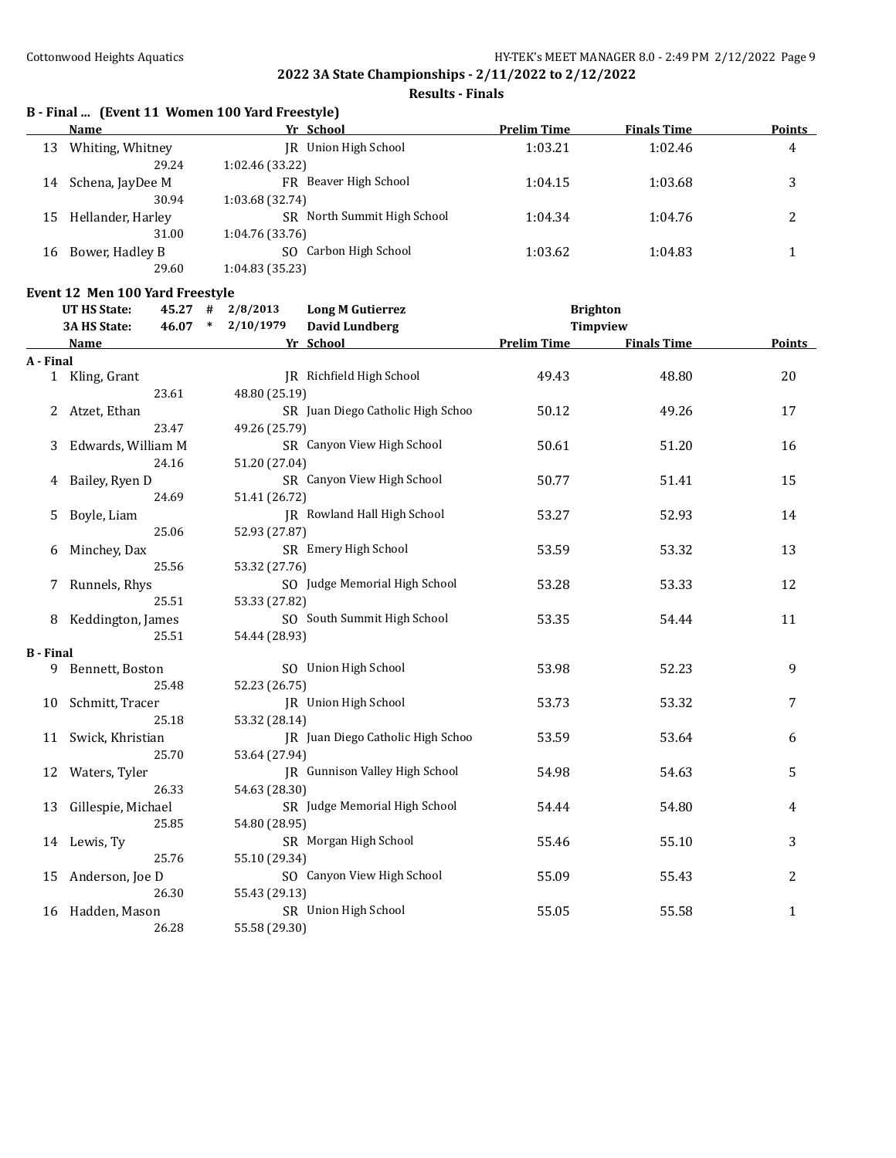**Results - Finals**

# **B - Final ... (Event 11 Women 100 Yard Freestyle)**

|    | Name              | Yr School                   | <b>Prelim Time</b> | <b>Finals Time</b> | <b>Points</b> |
|----|-------------------|-----------------------------|--------------------|--------------------|---------------|
| 13 | Whiting, Whitney  | Union High School<br>IR     | 1:03.21            | 1:02.46            | 4             |
|    | 29.24             | 1:02.46 (33.22)             |                    |                    |               |
| 14 | Schena, JayDee M  | FR Beaver High School       | 1:04.15            | 1:03.68            |               |
|    | 30.94             | 1:03.68 (32.74)             |                    |                    |               |
| 15 | Hellander, Harley | SR North Summit High School | 1:04.34            | 1:04.76            |               |
|    | 31.00             | 1:04.76 (33.76)             |                    |                    |               |
| 16 | Bower, Hadley B   | Carbon High School<br>SO.   | 1:03.62            | 1:04.83            |               |
|    | 29.60             | 1:04.83 (35.23)             |                    |                    |               |

# **Event 12 Men 100 Yard Freestyle**

|                  | <b>UT HS State:</b><br>45.27<br>3A HS State:<br>46.07 | #<br>$\ast$           | 2/8/2013<br><b>Long M Gutierrez</b><br>2/10/1979 |  | <b>Brighton</b>    |                    |              |
|------------------|-------------------------------------------------------|-----------------------|--------------------------------------------------|--|--------------------|--------------------|--------------|
|                  |                                                       | <b>David Lundberg</b> |                                                  |  | <b>Timpview</b>    |                    |              |
|                  | Name                                                  |                       | Yr School                                        |  | <b>Prelim Time</b> | <b>Finals Time</b> | Points       |
| A - Final        |                                                       |                       |                                                  |  |                    |                    |              |
|                  | 1 Kling, Grant<br>23.61                               |                       | JR Richfield High School                         |  | 49.43              | 48.80              | 20           |
|                  |                                                       |                       | 48.80 (25.19)                                    |  |                    |                    |              |
| 2                | Atzet, Ethan                                          |                       | SR Juan Diego Catholic High Schoo                |  | 50.12              | 49.26              | 17           |
|                  | 23.47                                                 |                       | 49.26 (25.79)                                    |  |                    |                    |              |
| 3                | Edwards, William M                                    |                       | SR Canyon View High School                       |  | 50.61              | 51.20              | 16           |
|                  | 24.16                                                 |                       | 51.20 (27.04)                                    |  |                    |                    |              |
| 4                | Bailey, Ryen D                                        |                       | SR Canyon View High School                       |  | 50.77              | 51.41              | 15           |
|                  | 24.69                                                 |                       | 51.41 (26.72)                                    |  |                    |                    |              |
| 5.               | Boyle, Liam                                           |                       | JR Rowland Hall High School                      |  | 53.27              | 52.93              | 14           |
|                  | 25.06                                                 |                       | 52.93 (27.87)                                    |  |                    |                    |              |
| 6                | Minchey, Dax<br>25.56                                 |                       | SR Emery High School                             |  | 53.59              | 53.32              | 13           |
|                  |                                                       |                       | 53.32 (27.76)                                    |  |                    |                    |              |
| 7                | Runnels, Rhys<br>25.51                                |                       | SO Judge Memorial High School                    |  | 53.28              | 53.33              | 12           |
|                  |                                                       |                       | 53.33 (27.82)<br>SO South Summit High School     |  |                    |                    |              |
|                  | Keddington, James<br>25.51                            |                       | 54.44 (28.93)                                    |  | 53.35              | 54.44              | 11           |
| <b>B</b> - Final |                                                       |                       |                                                  |  |                    |                    |              |
| 9                | Bennett, Boston                                       |                       | SO Union High School                             |  | 53.98              | 52.23              | 9            |
|                  | 25.48                                                 |                       | 52.23 (26.75)                                    |  |                    |                    |              |
| 10               | Schmitt, Tracer                                       |                       | JR Union High School                             |  | 53.73              | 53.32              | 7            |
|                  | 25.18                                                 |                       | 53.32 (28.14)                                    |  |                    |                    |              |
|                  | 11 Swick, Khristian                                   |                       | JR Juan Diego Catholic High Schoo                |  | 53.59              | 53.64              | 6            |
|                  | 25.70                                                 |                       | 53.64 (27.94)                                    |  |                    |                    |              |
| 12               | Waters, Tyler                                         |                       | JR Gunnison Valley High School                   |  | 54.98              | 54.63              | 5            |
|                  | 26.33                                                 |                       | 54.63 (28.30)                                    |  |                    |                    |              |
| 13               | Gillespie, Michael                                    |                       | SR Judge Memorial High School                    |  | 54.44              | 54.80              | 4            |
|                  | 25.85                                                 |                       | 54.80 (28.95)                                    |  |                    |                    |              |
| 14               | Lewis, Ty                                             |                       | SR Morgan High School                            |  | 55.46              | 55.10              | 3            |
|                  | 25.76                                                 |                       | 55.10 (29.34)                                    |  |                    |                    |              |
| 15               | Anderson, Joe D                                       |                       | SO Canyon View High School                       |  | 55.09              | 55.43              | 2            |
|                  | 26.30                                                 |                       | 55.43 (29.13)                                    |  |                    |                    |              |
| 16               | Hadden, Mason                                         |                       | SR Union High School                             |  | 55.05              | 55.58              | $\mathbf{1}$ |
|                  | 26.28                                                 |                       | 55.58 (29.30)                                    |  |                    |                    |              |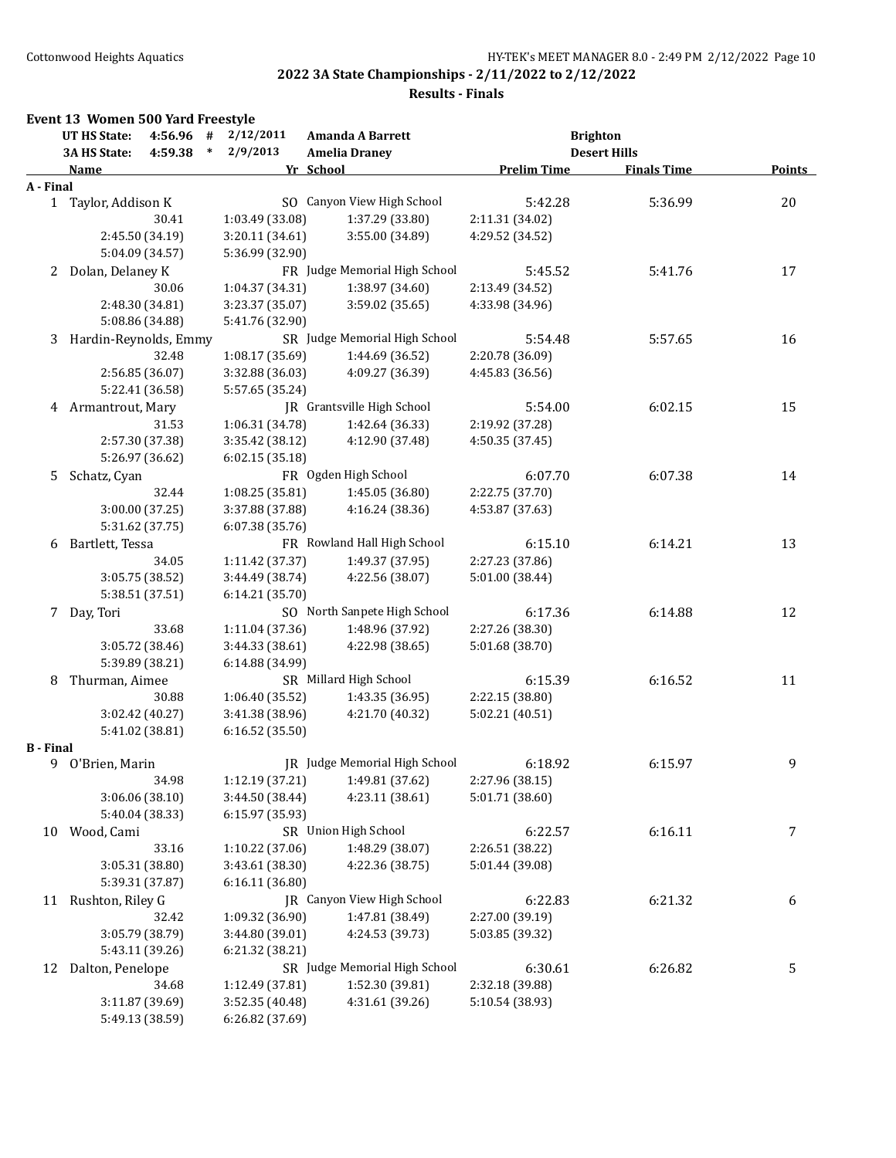|                  | <b>UT HS State:</b>   | 4:56.96 #       |        | 2/12/2011       | Amanda A Barrett                  |                    | <b>Brighton</b>     |               |
|------------------|-----------------------|-----------------|--------|-----------------|-----------------------------------|--------------------|---------------------|---------------|
|                  | 3A HS State:          | 4:59.38         | $\ast$ | 2/9/2013        | <b>Amelia Draney</b>              |                    | <b>Desert Hills</b> |               |
|                  | <u>Name</u>           |                 |        |                 | Yr School                         | <b>Prelim Time</b> | <b>Finals Time</b>  | <b>Points</b> |
| A - Final        |                       |                 |        |                 |                                   |                    |                     |               |
|                  | 1 Taylor, Addison K   |                 |        |                 | SO Canyon View High School        | 5:42.28            | 5:36.99             | 20            |
|                  |                       | 30.41           |        | 1:03.49 (33.08) | 1:37.29 (33.80)                   | 2:11.31 (34.02)    |                     |               |
|                  |                       | 2:45.50 (34.19) |        | 3:20.11 (34.61) | 3:55.00 (34.89)                   | 4:29.52 (34.52)    |                     |               |
|                  |                       | 5:04.09 (34.57) |        | 5:36.99 (32.90) |                                   |                    |                     |               |
| 2                | Dolan, Delaney K      |                 |        |                 | FR Judge Memorial High School     | 5:45.52            | 5:41.76             | 17            |
|                  |                       | 30.06           |        | 1:04.37 (34.31) | 1:38.97 (34.60)                   | 2:13.49 (34.52)    |                     |               |
|                  |                       | 2:48.30 (34.81) |        | 3:23.37 (35.07) | 3:59.02 (35.65)                   | 4:33.98 (34.96)    |                     |               |
|                  |                       | 5:08.86 (34.88) |        | 5:41.76 (32.90) |                                   |                    |                     |               |
| 3                | Hardin-Reynolds, Emmy |                 |        |                 | SR Judge Memorial High School     | 5:54.48            | 5:57.65             | 16            |
|                  |                       | 32.48           |        | 1:08.17 (35.69) | 1:44.69 (36.52)                   | 2:20.78 (36.09)    |                     |               |
|                  |                       | 2:56.85 (36.07) |        | 3:32.88 (36.03) | 4:09.27 (36.39)                   | 4:45.83 (36.56)    |                     |               |
|                  |                       | 5:22.41 (36.58) |        | 5:57.65 (35.24) |                                   |                    |                     |               |
| 4                | Armantrout, Mary      |                 |        |                 | <b>IR</b> Grantsville High School | 5:54.00            | 6:02.15             | 15            |
|                  |                       | 31.53           |        | 1:06.31 (34.78) | 1:42.64 (36.33)                   | 2:19.92 (37.28)    |                     |               |
|                  |                       | 2:57.30 (37.38) |        | 3:35.42 (38.12) | 4:12.90 (37.48)                   | 4:50.35 (37.45)    |                     |               |
|                  |                       | 5:26.97 (36.62) |        | 6:02.15 (35.18) |                                   |                    |                     |               |
| 5                | Schatz, Cyan          |                 |        |                 | FR Ogden High School              | 6:07.70            | 6:07.38             | 14            |
|                  |                       | 32.44           |        | 1:08.25 (35.81) | 1:45.05 (36.80)                   | 2:22.75 (37.70)    |                     |               |
|                  |                       | 3:00.00 (37.25) |        | 3:37.88 (37.88) | 4:16.24 (38.36)                   | 4:53.87 (37.63)    |                     |               |
|                  |                       | 5:31.62 (37.75) |        | 6:07.38 (35.76) |                                   |                    |                     |               |
| 6                | Bartlett, Tessa       |                 |        |                 | FR Rowland Hall High School       | 6:15.10            | 6:14.21             | 13            |
|                  |                       | 34.05           |        | 1:11.42 (37.37) | 1:49.37 (37.95)                   | 2:27.23 (37.86)    |                     |               |
|                  |                       | 3:05.75 (38.52) |        | 3:44.49 (38.74) | 4:22.56 (38.07)                   | 5:01.00 (38.44)    |                     |               |
|                  |                       | 5:38.51 (37.51) |        | 6:14.21 (35.70) |                                   |                    |                     |               |
| 7                | Day, Tori             |                 |        |                 | SO North Sanpete High School      | 6:17.36            | 6:14.88             | 12            |
|                  |                       | 33.68           |        | 1:11.04 (37.36) | 1:48.96 (37.92)                   | 2:27.26 (38.30)    |                     |               |
|                  |                       | 3:05.72 (38.46) |        | 3:44.33 (38.61) | 4:22.98 (38.65)                   | 5:01.68 (38.70)    |                     |               |
|                  |                       | 5:39.89 (38.21) |        | 6:14.88 (34.99) |                                   |                    |                     |               |
| 8                | Thurman, Aimee        |                 |        |                 | SR Millard High School            | 6:15.39            | 6:16.52             | 11            |
|                  |                       | 30.88           |        | 1:06.40 (35.52) | 1:43.35 (36.95)                   | 2:22.15 (38.80)    |                     |               |
|                  |                       | 3:02.42 (40.27) |        | 3:41.38 (38.96) | 4:21.70 (40.32)                   | 5:02.21 (40.51)    |                     |               |
|                  |                       | 5:41.02 (38.81) |        | 6:16.52 (35.50) |                                   |                    |                     |               |
| <b>B</b> - Final |                       |                 |        |                 |                                   |                    |                     |               |
|                  | 9 O'Brien, Marin      |                 |        |                 | JR Judge Memorial High School     | 6:18.92            | 6:15.97             | 9             |
|                  |                       | 34.98           |        | 1:12.19 (37.21) | 1:49.81 (37.62)                   | 2:27.96 (38.15)    |                     |               |
|                  |                       | 3:06.06 (38.10) |        | 3:44.50 (38.44) | 4:23.11 (38.61)                   | 5:01.71 (38.60)    |                     |               |
|                  |                       | 5:40.04 (38.33) |        | 6:15.97 (35.93) |                                   |                    |                     |               |
| 10               | Wood, Cami            |                 |        |                 | SR Union High School              | 6:22.57            | 6:16.11             | 7             |
|                  |                       | 33.16           |        | 1:10.22 (37.06) | 1:48.29 (38.07)                   | 2:26.51 (38.22)    |                     |               |
|                  |                       | 3:05.31 (38.80) |        | 3:43.61 (38.30) | 4:22.36 (38.75)                   | 5:01.44 (39.08)    |                     |               |
|                  |                       | 5:39.31 (37.87) |        | 6:16.11(36.80)  |                                   |                    |                     |               |
| 11               | Rushton, Riley G      |                 |        |                 | JR Canyon View High School        | 6:22.83            | 6:21.32             | 6             |
|                  |                       | 32.42           |        | 1:09.32 (36.90) | 1:47.81 (38.49)                   | 2:27.00 (39.19)    |                     |               |
|                  |                       | 3:05.79 (38.79) |        | 3:44.80 (39.01) | 4:24.53 (39.73)                   | 5:03.85 (39.32)    |                     |               |
|                  |                       | 5:43.11 (39.26) |        | 6:21.32 (38.21) |                                   |                    |                     |               |
| 12               | Dalton, Penelope      |                 |        |                 | SR Judge Memorial High School     | 6:30.61            | 6:26.82             | 5             |
|                  |                       | 34.68           |        | 1:12.49 (37.81) | 1:52.30 (39.81)                   | 2:32.18 (39.88)    |                     |               |
|                  |                       | 3:11.87 (39.69) |        | 3:52.35 (40.48) | 4:31.61 (39.26)                   | 5:10.54 (38.93)    |                     |               |
|                  |                       | 5:49.13 (38.59) |        | 6:26.82 (37.69) |                                   |                    |                     |               |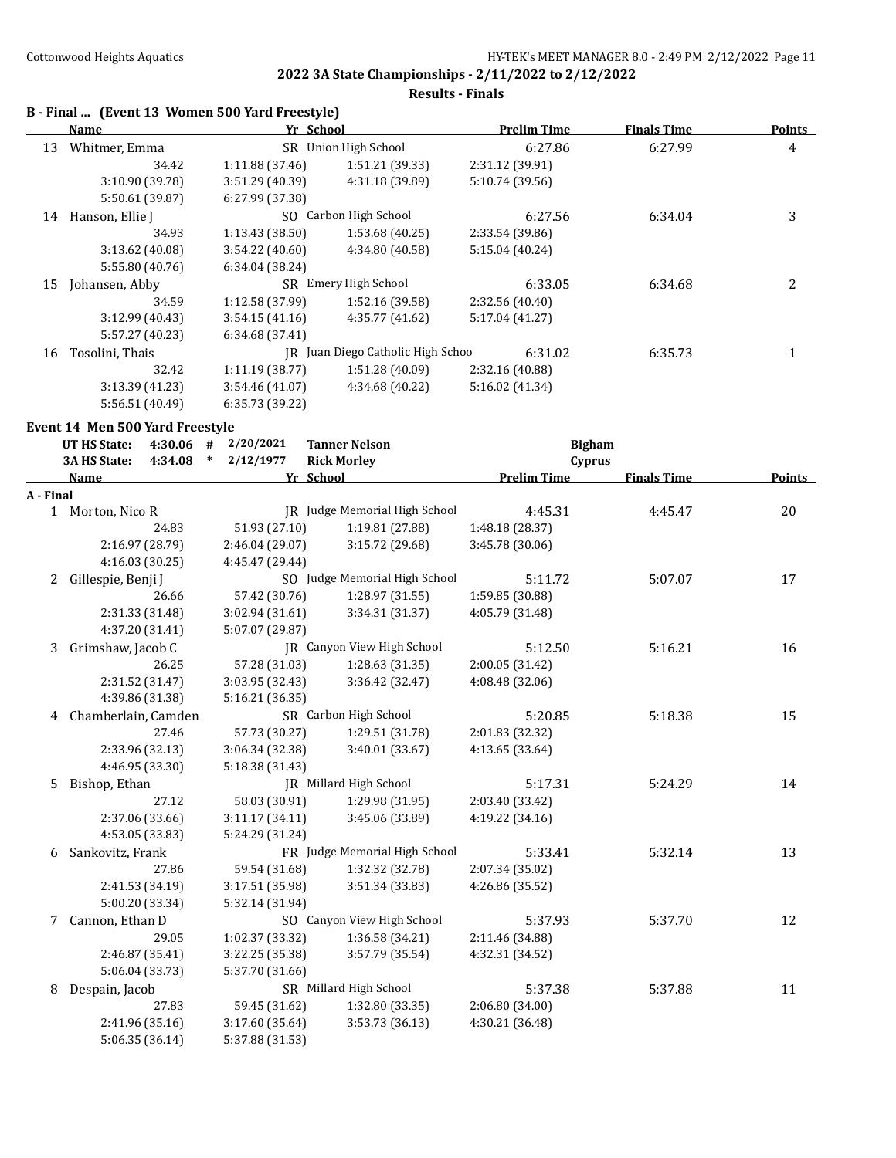#### **Results - Finals**

# **B - Final ... (Event 13 Women 500 Yard Freestyle)**

|    | Name            | Yr School       |                                   | <b>Prelim Time</b> | <b>Finals Time</b> | <b>Points</b> |
|----|-----------------|-----------------|-----------------------------------|--------------------|--------------------|---------------|
| 13 | Whitmer, Emma   | SR.             | Union High School                 | 6:27.86            | 6:27.99            | 4             |
|    | 34.42           | 1:11.88(37.46)  | 1:51.21 (39.33)                   | 2:31.12 (39.91)    |                    |               |
|    | 3:10.90 (39.78) | 3:51.29 (40.39) | 4:31.18 (39.89)                   | 5:10.74 (39.56)    |                    |               |
|    | 5:50.61 (39.87) | 6:27.99 (37.38) |                                   |                    |                    |               |
| 14 | Hanson, Ellie J | SO.             | Carbon High School                | 6:27.56            | 6:34.04            | 3             |
|    | 34.93           | 1:13.43(38.50)  | 1:53.68(40.25)                    | 2:33.54 (39.86)    |                    |               |
|    | 3:13.62(40.08)  | 3:54.22(40.60)  | 4:34.80 (40.58)                   | 5:15.04 (40.24)    |                    |               |
|    | 5:55.80 (40.76) | 6:34.04(38.24)  |                                   |                    |                    |               |
| 15 | Johansen, Abby  | SR.             | Emery High School                 | 6:33.05            | 6:34.68            | 2             |
|    | 34.59           | 1:12.58 (37.99) | 1:52.16 (39.58)                   | 2:32.56 (40.40)    |                    |               |
|    | 3:12.99(40.43)  | 3:54.15(41.16)  | 4:35.77 (41.62)                   | 5:17.04 (41.27)    |                    |               |
|    | 5:57.27 (40.23) | 6:34.68(37.41)  |                                   |                    |                    |               |
| 16 | Tosolini, Thais |                 | IR Juan Diego Catholic High Schoo | 6:31.02            | 6:35.73            |               |
|    | 32.42           | 1:11.19(38.77)  | 1:51.28(40.09)                    | 2:32.16 (40.88)    |                    |               |
|    | 3:13.39(41.23)  | 3:54.46(41.07)  | 4:34.68 (40.22)                   | 5:16.02 (41.34)    |                    |               |
|    | 5:56.51 (40.49) | 6:35.73 (39.22) |                                   |                    |                    |               |

#### **Event 14 Men 500 Yard Freestyle**

|           | <b>UT HS State:</b><br>2/20/2021<br><b>Tanner Nelson</b><br><b>Bigham</b><br>$4:30.06$ # |                 |                               |                    |                    |        |
|-----------|------------------------------------------------------------------------------------------|-----------------|-------------------------------|--------------------|--------------------|--------|
|           | 3A HS State:<br>4:34.08<br>$\ast$                                                        | 2/12/1977       | <b>Rick Morley</b>            | Cyprus             |                    |        |
|           | Name                                                                                     |                 | Yr School                     | <b>Prelim Time</b> | <b>Finals Time</b> | Points |
| A - Final |                                                                                          |                 |                               |                    |                    |        |
|           | 1 Morton, Nico R                                                                         |                 | IR Judge Memorial High School | 4:45.31            | 4:45.47            | 20     |
|           | 24.83                                                                                    | 51.93 (27.10)   | 1:19.81 (27.88)               | 1:48.18 (28.37)    |                    |        |
|           | 2:16.97 (28.79)                                                                          | 2:46.04 (29.07) | 3:15.72 (29.68)               | 3:45.78 (30.06)    |                    |        |
|           | 4:16.03 (30.25)                                                                          | 4:45.47 (29.44) |                               |                    |                    |        |
|           | Gillespie, Benji J<br>2                                                                  |                 | SO Judge Memorial High School | 5:11.72            | 5:07.07            | 17     |
|           | 26.66                                                                                    | 57.42 (30.76)   | 1:28.97 (31.55)               | 1:59.85 (30.88)    |                    |        |
|           | 2:31.33 (31.48)                                                                          | 3:02.94 (31.61) | 3:34.31 (31.37)               | 4:05.79 (31.48)    |                    |        |
|           | 4:37.20 (31.41)                                                                          | 5:07.07 (29.87) |                               |                    |                    |        |
|           | Grimshaw, Jacob C<br>3                                                                   |                 | JR Canyon View High School    | 5:12.50            | 5:16.21            | 16     |
|           | 26.25                                                                                    | 57.28 (31.03)   | 1:28.63 (31.35)               | 2:00.05 (31.42)    |                    |        |
|           | 2:31.52 (31.47)                                                                          | 3:03.95 (32.43) | 3:36.42 (32.47)               | 4:08.48 (32.06)    |                    |        |
|           | 4:39.86 (31.38)                                                                          | 5:16.21 (36.35) |                               |                    |                    |        |
|           | 4 Chamberlain, Camden                                                                    |                 | SR Carbon High School         | 5:20.85            | 5:18.38            | 15     |
|           | 27.46                                                                                    | 57.73 (30.27)   | 1:29.51 (31.78)               | 2:01.83 (32.32)    |                    |        |
|           | 2:33.96 (32.13)                                                                          | 3:06.34 (32.38) | 3:40.01 (33.67)               | 4:13.65 (33.64)    |                    |        |
|           | 4:46.95 (33.30)                                                                          | 5:18.38 (31.43) |                               |                    |                    |        |
|           | Bishop, Ethan<br>5.                                                                      |                 | JR Millard High School        | 5:17.31            | 5:24.29            | 14     |
|           | 27.12                                                                                    | 58.03 (30.91)   | 1:29.98 (31.95)               | 2:03.40 (33.42)    |                    |        |
|           | 2:37.06 (33.66)                                                                          | 3:11.17(34.11)  | 3:45.06 (33.89)               | 4:19.22 (34.16)    |                    |        |
|           | 4:53.05 (33.83)                                                                          | 5:24.29 (31.24) |                               |                    |                    |        |
|           | Sankovitz, Frank<br>6                                                                    |                 | FR Judge Memorial High School | 5:33.41            | 5:32.14            | 13     |
|           | 27.86                                                                                    | 59.54 (31.68)   | 1:32.32 (32.78)               | 2:07.34 (35.02)    |                    |        |
|           | 2:41.53 (34.19)                                                                          | 3:17.51 (35.98) | 3:51.34 (33.83)               | 4:26.86 (35.52)    |                    |        |
|           | 5:00.20 (33.34)                                                                          | 5:32.14 (31.94) |                               |                    |                    |        |
|           | 7 Cannon, Ethan D                                                                        |                 | SO Canyon View High School    | 5:37.93            | 5:37.70            | 12     |
|           | 29.05                                                                                    | 1:02.37 (33.32) | 1:36.58 (34.21)               | 2:11.46 (34.88)    |                    |        |
|           | 2:46.87 (35.41)                                                                          | 3:22.25 (35.38) | 3:57.79 (35.54)               | 4:32.31 (34.52)    |                    |        |
|           | 5:06.04 (33.73)                                                                          | 5:37.70 (31.66) |                               |                    |                    |        |
|           | Despain, Jacob<br>8                                                                      |                 | SR Millard High School        | 5:37.38            | 5:37.88            | 11     |
|           | 27.83                                                                                    | 59.45 (31.62)   | 1:32.80 (33.35)               | 2:06.80 (34.00)    |                    |        |
|           | 2:41.96 (35.16)                                                                          | 3:17.60 (35.64) | 3:53.73 (36.13)               | 4:30.21 (36.48)    |                    |        |
|           | 5:06.35(36.14)                                                                           | 5:37.88 (31.53) |                               |                    |                    |        |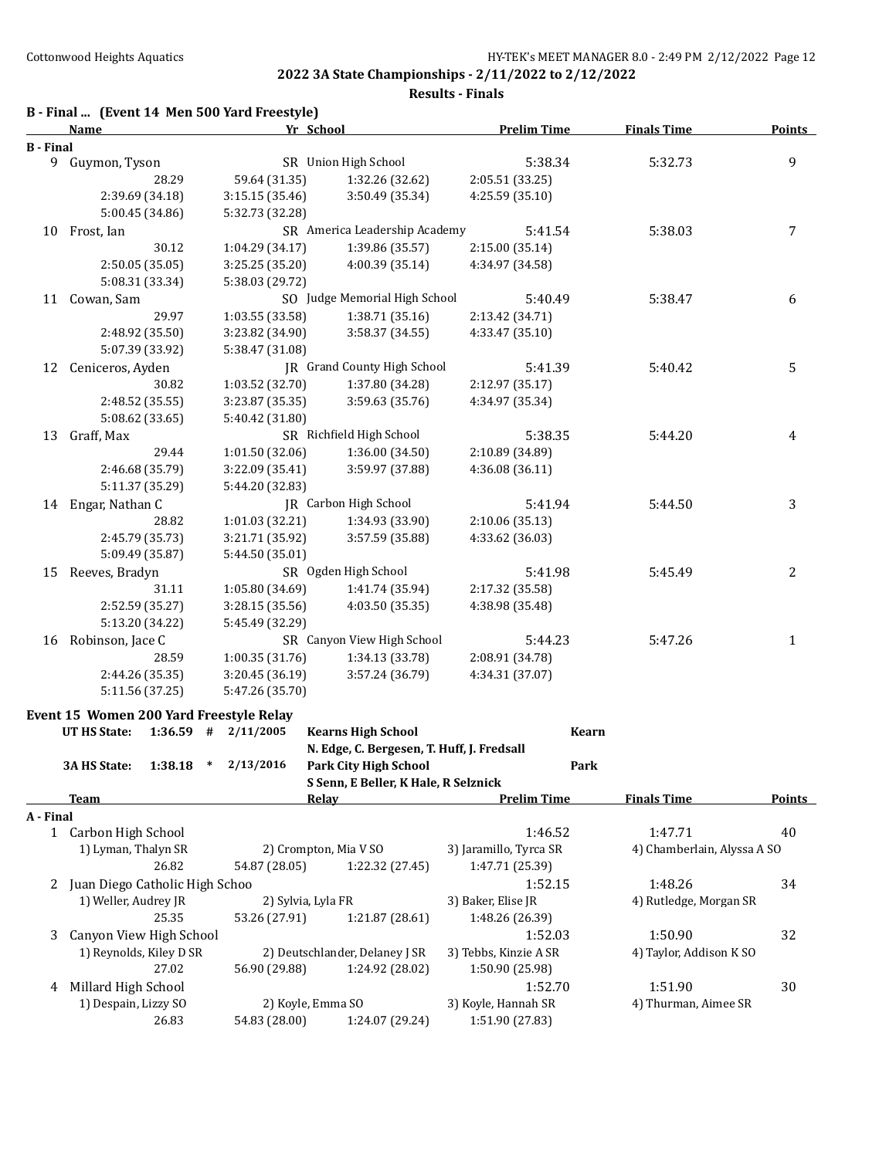|                  | B - Final  (Event 14 Men 500 Yard Freestyle)<br>Name | Yr School                          |                                            | <b>Prelim Time</b>     | <b>Finals Time</b>          | Points         |
|------------------|------------------------------------------------------|------------------------------------|--------------------------------------------|------------------------|-----------------------------|----------------|
| <b>B</b> - Final |                                                      |                                    |                                            |                        |                             |                |
| 9.               | Guymon, Tyson                                        |                                    | SR Union High School                       | 5:38.34                | 5:32.73                     | $\overline{9}$ |
|                  | 28.29                                                | 59.64 (31.35)                      | 1:32.26 (32.62)                            | 2:05.51 (33.25)        |                             |                |
|                  | 2:39.69 (34.18)                                      | 3:15.15 (35.46)                    | 3:50.49 (35.34)                            | 4:25.59 (35.10)        |                             |                |
|                  | 5:00.45 (34.86)                                      | 5:32.73 (32.28)                    |                                            |                        |                             |                |
| 10               | Frost, Ian                                           |                                    | SR America Leadership Academy              | 5:41.54                | 5:38.03                     | $\overline{7}$ |
|                  | 30.12                                                | 1:04.29 (34.17)                    | 1:39.86 (35.57)                            | 2:15.00(35.14)         |                             |                |
|                  | 2:50.05 (35.05)                                      | 3:25.25 (35.20)                    | 4:00.39 (35.14)                            | 4:34.97 (34.58)        |                             |                |
|                  | 5:08.31 (33.34)                                      | 5:38.03 (29.72)                    |                                            |                        |                             |                |
|                  | 11 Cowan, Sam                                        |                                    | SO Judge Memorial High School              | 5:40.49                | 5:38.47                     | 6              |
|                  | 29.97                                                | 1:03.55 (33.58)                    | 1:38.71 (35.16)                            | 2:13.42 (34.71)        |                             |                |
|                  | 2:48.92 (35.50)                                      | 3:23.82 (34.90)                    | 3:58.37 (34.55)                            | 4:33.47 (35.10)        |                             |                |
|                  | 5:07.39 (33.92)                                      | 5:38.47 (31.08)                    |                                            |                        |                             |                |
| 12               | Ceniceros, Ayden                                     |                                    | JR Grand County High School                | 5:41.39                | 5:40.42                     | 5              |
|                  | 30.82                                                | 1:03.52 (32.70)                    | 1:37.80 (34.28)                            | 2:12.97 (35.17)        |                             |                |
|                  | 2:48.52 (35.55)                                      | 3:23.87 (35.35)                    | 3:59.63 (35.76)                            | 4:34.97 (35.34)        |                             |                |
|                  | 5:08.62 (33.65)                                      | 5:40.42 (31.80)                    |                                            |                        |                             |                |
| 13               | Graff, Max                                           |                                    | SR Richfield High School                   | 5:38.35                | 5:44.20                     | 4              |
|                  | 29.44                                                | 1:01.50(32.06)                     | 1:36.00 (34.50)                            | 2:10.89 (34.89)        |                             |                |
|                  | 2:46.68 (35.79)                                      | 3:22.09 (35.41)                    | 3:59.97 (37.88)                            | 4:36.08 (36.11)        |                             |                |
|                  | 5:11.37 (35.29)                                      | 5:44.20 (32.83)                    |                                            |                        |                             |                |
|                  |                                                      |                                    | <b>IR</b> Carbon High School               | 5:41.94                | 5:44.50                     | 3              |
|                  | 14 Engar, Nathan C<br>28.82                          |                                    | 1:34.93 (33.90)                            |                        |                             |                |
|                  |                                                      | 1:01.03 (32.21)                    |                                            | 2:10.06 (35.13)        |                             |                |
|                  | 2:45.79 (35.73)<br>5:09.49 (35.87)                   | 3:21.71 (35.92)<br>5:44.50 (35.01) | 3:57.59 (35.88)                            | 4:33.62 (36.03)        |                             |                |
|                  |                                                      |                                    |                                            |                        |                             |                |
| 15               | Reeves, Bradyn                                       |                                    | SR Ogden High School                       | 5:41.98                | 5:45.49                     | 2              |
|                  | 31.11                                                | 1:05.80 (34.69)                    | 1:41.74 (35.94)                            | 2:17.32 (35.58)        |                             |                |
|                  | 2:52.59 (35.27)                                      | 3:28.15 (35.56)                    | 4:03.50 (35.35)                            | 4:38.98 (35.48)        |                             |                |
|                  | 5:13.20 (34.22)                                      | 5:45.49 (32.29)                    |                                            |                        |                             |                |
|                  | 16 Robinson, Jace C                                  |                                    | SR Canyon View High School                 | 5:44.23                | 5:47.26                     | $\mathbf{1}$   |
|                  | 28.59                                                | 1:00.35 (31.76)                    | 1:34.13 (33.78)                            | 2:08.91 (34.78)        |                             |                |
|                  | 2:44.26 (35.35)                                      | 3:20.45 (36.19)                    | 3:57.24 (36.79)                            | 4:34.31 (37.07)        |                             |                |
|                  | 5:11.56 (37.25)                                      | 5:47.26 (35.70)                    |                                            |                        |                             |                |
|                  | Event 15 Women 200 Yard Freestyle Relay              |                                    |                                            |                        |                             |                |
|                  | <b>UT HS State:</b><br>1:36.59                       | #<br>2/11/2005                     | <b>Kearns High School</b>                  |                        | Kearn                       |                |
|                  |                                                      |                                    | N. Edge, C. Bergesen, T. Huff, J. Fredsall |                        |                             |                |
|                  | 3A HS State:<br>1:38.18                              | 2/13/2016<br>$\ast$                | <b>Park City High School</b>               |                        | Park                        |                |
|                  |                                                      |                                    | S Senn, E Beller, K Hale, R Selznick       |                        |                             |                |
|                  | <u>Team</u>                                          |                                    | Relay                                      | <b>Prelim Time</b>     | <b>Finals Time</b>          | <b>Points</b>  |
| A - Final        |                                                      |                                    |                                            |                        |                             |                |
|                  | 1 Carbon High School                                 |                                    |                                            | 1:46.52                | 1:47.71                     | 40             |
|                  | 1) Lyman, Thalyn SR                                  |                                    | 2) Crompton, Mia V SO                      | 3) Jaramillo, Tyrca SR | 4) Chamberlain, Alyssa A SO |                |
|                  | 26.82                                                | 54.87 (28.05)                      | 1:22.32 (27.45)                            | 1:47.71 (25.39)        |                             |                |
| 2                | Juan Diego Catholic High Schoo                       |                                    |                                            | 1:52.15                | 1:48.26                     | 34             |
|                  | 1) Weller, Audrey JR                                 | 2) Sylvia, Lyla FR                 |                                            | 3) Baker, Elise JR     | 4) Rutledge, Morgan SR      |                |
|                  | 25.35                                                | 53.26 (27.91)                      | 1:21.87 (28.61)                            | 1:48.26 (26.39)        |                             |                |
| 3                | Canyon View High School                              |                                    |                                            | 1:52.03                | 1:50.90                     | 32             |
|                  | 1) Reynolds, Kiley D SR                              |                                    | 2) Deutschlander, Delaney J SR             | 3) Tebbs, Kinzie A SR  | 4) Taylor, Addison K SO     |                |
|                  | 27.02                                                | 56.90 (29.88)                      | 1:24.92 (28.02)                            | 1:50.90 (25.98)        |                             |                |
| 4                | Millard High School                                  |                                    |                                            | 1:52.70                | 1:51.90                     | 30             |
|                  | 1) Despain, Lizzy SO                                 | 2) Koyle, Emma SO                  |                                            | 3) Koyle, Hannah SR    | 4) Thurman, Aimee SR        |                |
|                  | 26.83                                                | 54.83 (28.00)                      | 1:24.07 (29.24)                            | 1:51.90 (27.83)        |                             |                |
|                  |                                                      |                                    |                                            |                        |                             |                |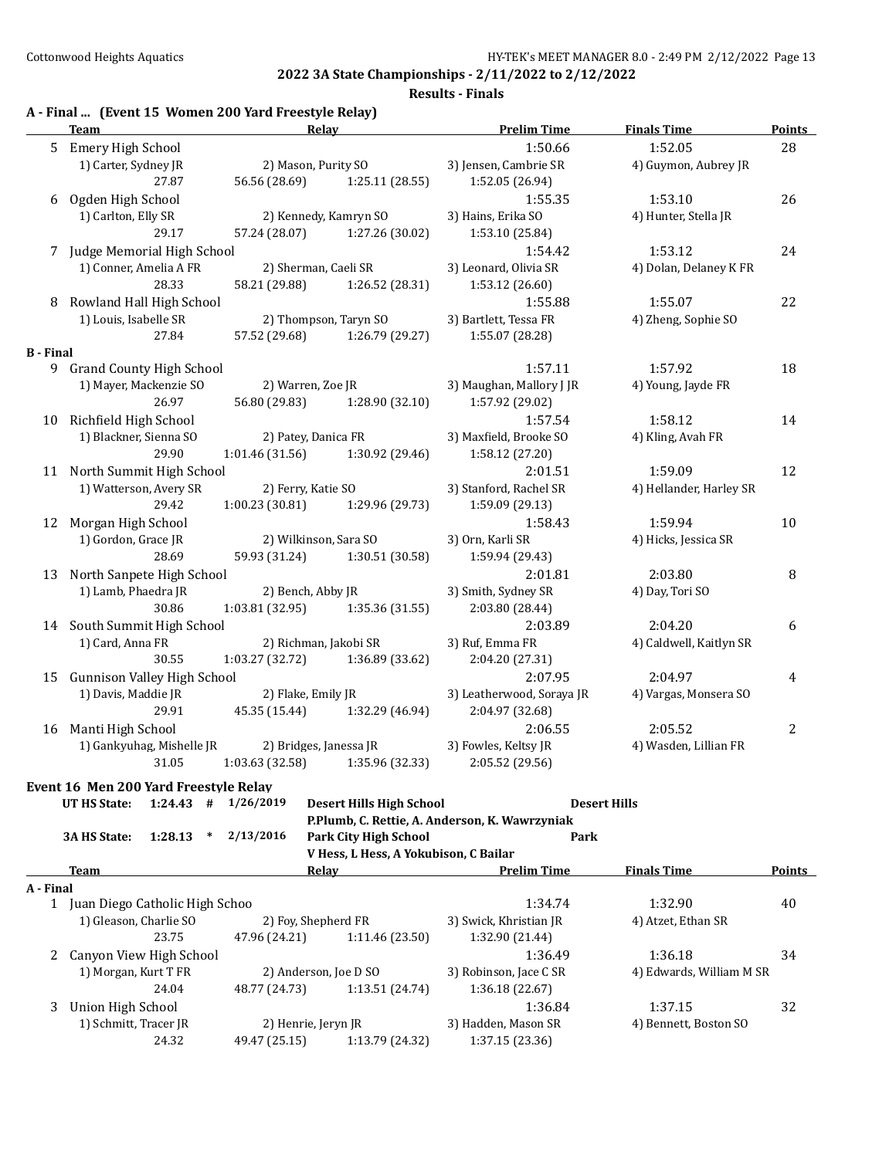| 5 Emery High School<br>1:50.66<br>3) Jensen, Cambrie SR<br>1) Carter, Sydney JR<br>2) Mason, Purity SO<br>27.87<br>56.56 (28.69)<br>1:25.11 (28.55)<br>1:52.05 (26.94)<br>Ogden High School<br>1:55.35<br>6<br>1) Carlton, Elly SR<br>2) Kennedy, Kamryn SO<br>3) Hains, Erika SO<br>29.17<br>57.24 (28.07)<br>1:27.26 (30.02)<br>1:53.10 (25.84)<br>7 Judge Memorial High School<br>1:54.42<br>1) Conner, Amelia A FR<br>2) Sherman, Caeli SR<br>3) Leonard, Olivia SR | 1:52.05<br>4) Guymon, Aubrey JR<br>1:53.10<br>4) Hunter, Stella JR | 28<br>26         |
|-------------------------------------------------------------------------------------------------------------------------------------------------------------------------------------------------------------------------------------------------------------------------------------------------------------------------------------------------------------------------------------------------------------------------------------------------------------------------|--------------------------------------------------------------------|------------------|
|                                                                                                                                                                                                                                                                                                                                                                                                                                                                         |                                                                    |                  |
|                                                                                                                                                                                                                                                                                                                                                                                                                                                                         |                                                                    |                  |
|                                                                                                                                                                                                                                                                                                                                                                                                                                                                         |                                                                    |                  |
|                                                                                                                                                                                                                                                                                                                                                                                                                                                                         |                                                                    |                  |
|                                                                                                                                                                                                                                                                                                                                                                                                                                                                         |                                                                    |                  |
|                                                                                                                                                                                                                                                                                                                                                                                                                                                                         |                                                                    |                  |
|                                                                                                                                                                                                                                                                                                                                                                                                                                                                         | 1:53.12                                                            | 24               |
|                                                                                                                                                                                                                                                                                                                                                                                                                                                                         | 4) Dolan, Delaney K FR                                             |                  |
| 28.33<br>58.21 (29.88)<br>1:26.52 (28.31)<br>1:53.12 (26.60)                                                                                                                                                                                                                                                                                                                                                                                                            |                                                                    |                  |
| Rowland Hall High School<br>1:55.88<br>8                                                                                                                                                                                                                                                                                                                                                                                                                                | 1:55.07                                                            | 22               |
| 2) Thompson, Taryn SO<br>1) Louis, Isabelle SR<br>3) Bartlett, Tessa FR                                                                                                                                                                                                                                                                                                                                                                                                 | 4) Zheng, Sophie SO                                                |                  |
| 57.52 (29.68)<br>1:26.79 (29.27)<br>1:55.07 (28.28)<br>27.84                                                                                                                                                                                                                                                                                                                                                                                                            |                                                                    |                  |
| <b>B</b> - Final                                                                                                                                                                                                                                                                                                                                                                                                                                                        |                                                                    |                  |
| 9 Grand County High School<br>1:57.11                                                                                                                                                                                                                                                                                                                                                                                                                                   | 1:57.92                                                            | 18               |
| 1) Mayer, Mackenzie SO<br>2) Warren, Zoe JR<br>3) Maughan, Mallory J JR                                                                                                                                                                                                                                                                                                                                                                                                 | 4) Young, Jayde FR                                                 |                  |
| 26.97<br>1:28.90 (32.10)<br>1:57.92 (29.02)<br>56.80 (29.83)                                                                                                                                                                                                                                                                                                                                                                                                            |                                                                    |                  |
| 10 Richfield High School<br>1:57.54                                                                                                                                                                                                                                                                                                                                                                                                                                     | 1:58.12                                                            | 14               |
| 1) Blackner, Sienna SO<br>2) Patey, Danica FR<br>3) Maxfield, Brooke SO                                                                                                                                                                                                                                                                                                                                                                                                 | 4) Kling, Avah FR                                                  |                  |
| 29.90<br>1:30.92 (29.46)<br>1:01.46(31.56)<br>1:58.12 (27.20)                                                                                                                                                                                                                                                                                                                                                                                                           |                                                                    |                  |
| 11 North Summit High School<br>2:01.51                                                                                                                                                                                                                                                                                                                                                                                                                                  | 1:59.09                                                            | 12               |
| 1) Watterson, Avery SR<br>2) Ferry, Katie SO<br>3) Stanford, Rachel SR                                                                                                                                                                                                                                                                                                                                                                                                  | 4) Hellander, Harley SR                                            |                  |
| 29.42<br>1:00.23(30.81)<br>1:29.96 (29.73)<br>1:59.09 (29.13)                                                                                                                                                                                                                                                                                                                                                                                                           |                                                                    |                  |
| Morgan High School<br>1:58.43<br>12                                                                                                                                                                                                                                                                                                                                                                                                                                     | 1:59.94                                                            | 10               |
| 1) Gordon, Grace JR<br>2) Wilkinson, Sara SO<br>3) Orn, Karli SR                                                                                                                                                                                                                                                                                                                                                                                                        | 4) Hicks, Jessica SR                                               |                  |
| 59.93 (31.24)<br>28.69<br>1:30.51 (30.58)<br>1:59.94 (29.43)                                                                                                                                                                                                                                                                                                                                                                                                            |                                                                    |                  |
|                                                                                                                                                                                                                                                                                                                                                                                                                                                                         |                                                                    |                  |
| North Sanpete High School<br>2:01.81<br>13                                                                                                                                                                                                                                                                                                                                                                                                                              | 2:03.80                                                            | 8                |
| 1) Lamb, Phaedra JR<br>2) Bench, Abby JR<br>3) Smith, Sydney SR                                                                                                                                                                                                                                                                                                                                                                                                         | 4) Day, Tori SO                                                    |                  |
| 30.86<br>1:03.81(32.95)<br>2:03.80 (28.44)<br>1:35.36 (31.55)                                                                                                                                                                                                                                                                                                                                                                                                           |                                                                    |                  |
| 14 South Summit High School<br>2:03.89                                                                                                                                                                                                                                                                                                                                                                                                                                  | 2:04.20                                                            | 6                |
| 1) Card, Anna FR<br>2) Richman, Jakobi SR<br>3) Ruf, Emma FR                                                                                                                                                                                                                                                                                                                                                                                                            | 4) Caldwell, Kaitlyn SR                                            |                  |
| 30.55<br>1:03.27 (32.72)<br>1:36.89 (33.62)<br>2:04.20 (27.31)                                                                                                                                                                                                                                                                                                                                                                                                          |                                                                    |                  |
| Gunnison Valley High School<br>2:07.95<br>15                                                                                                                                                                                                                                                                                                                                                                                                                            | 2:04.97                                                            | 4                |
| 1) Davis, Maddie JR<br>2) Flake, Emily JR<br>3) Leatherwood, Soraya JR                                                                                                                                                                                                                                                                                                                                                                                                  | 4) Vargas, Monsera SO                                              |                  |
| 29.91<br>45.35 (15.44)<br>1:32.29 (46.94)<br>2:04.97 (32.68)                                                                                                                                                                                                                                                                                                                                                                                                            |                                                                    |                  |
| Manti High School<br>2:06.55<br>16                                                                                                                                                                                                                                                                                                                                                                                                                                      | 2:05.52                                                            | $\boldsymbol{2}$ |
| 1) Gankyuhag, Mishelle JR<br>3) Fowles, Keltsy JR<br>2) Bridges, Janessa JR                                                                                                                                                                                                                                                                                                                                                                                             | 4) Wasden, Lillian FR                                              |                  |
| 31.05    1:03.63    (32.58)    1:35.96    (32.33)    2:05.52    (29.56)                                                                                                                                                                                                                                                                                                                                                                                                 |                                                                    |                  |
| Event 16 Men 200 Yard Freestyle Relay                                                                                                                                                                                                                                                                                                                                                                                                                                   |                                                                    |                  |
| UT HS State:<br>$1:24.43$ # $1/26/2019$<br><b>Desert Hills High School</b><br><b>Desert Hills</b>                                                                                                                                                                                                                                                                                                                                                                       |                                                                    |                  |
| P.Plumb, C. Rettie, A. Anderson, K. Wawrzyniak                                                                                                                                                                                                                                                                                                                                                                                                                          |                                                                    |                  |
| 3A HS State:<br>1:28.13<br>2/13/2016<br><b>Park City High School</b><br>$\ast$<br>Park                                                                                                                                                                                                                                                                                                                                                                                  |                                                                    |                  |
| V Hess, L Hess, A Yokubison, C Bailar                                                                                                                                                                                                                                                                                                                                                                                                                                   |                                                                    |                  |
| <b>Prelim Time</b><br>Team<br><u>Relav</u>                                                                                                                                                                                                                                                                                                                                                                                                                              | <b>Finals Time</b>                                                 | <b>Points</b>    |
| A - Final                                                                                                                                                                                                                                                                                                                                                                                                                                                               |                                                                    |                  |
| 1 Juan Diego Catholic High Schoo<br>1:34.74                                                                                                                                                                                                                                                                                                                                                                                                                             | 1:32.90                                                            | 40               |
| 1) Gleason, Charlie SO<br>2) Foy, Shepherd FR<br>3) Swick, Khristian JR                                                                                                                                                                                                                                                                                                                                                                                                 | 4) Atzet, Ethan SR                                                 |                  |
|                                                                                                                                                                                                                                                                                                                                                                                                                                                                         |                                                                    |                  |
|                                                                                                                                                                                                                                                                                                                                                                                                                                                                         |                                                                    | 34               |
| 23.75<br>1:32.90 (21.44)<br>47.96 (24.21)<br>1:11.46 (23.50)                                                                                                                                                                                                                                                                                                                                                                                                            |                                                                    |                  |
| Canyon View High School<br>1:36.49<br>2                                                                                                                                                                                                                                                                                                                                                                                                                                 | 1:36.18                                                            |                  |
| 1) Morgan, Kurt T FR<br>2) Anderson, Joe D SO<br>3) Robinson, Jace C SR                                                                                                                                                                                                                                                                                                                                                                                                 | 4) Edwards, William M SR                                           |                  |
| 24.04<br>1:36.18 (22.67)<br>48.77 (24.73)<br>1:13.51 (24.74)                                                                                                                                                                                                                                                                                                                                                                                                            |                                                                    |                  |
| 1:36.84<br>3<br>Union High School<br>1) Schmitt, Tracer JR<br>2) Henrie, Jeryn JR<br>3) Hadden, Mason SR                                                                                                                                                                                                                                                                                                                                                                | 1:37.15<br>4) Bennett, Boston SO                                   | 32               |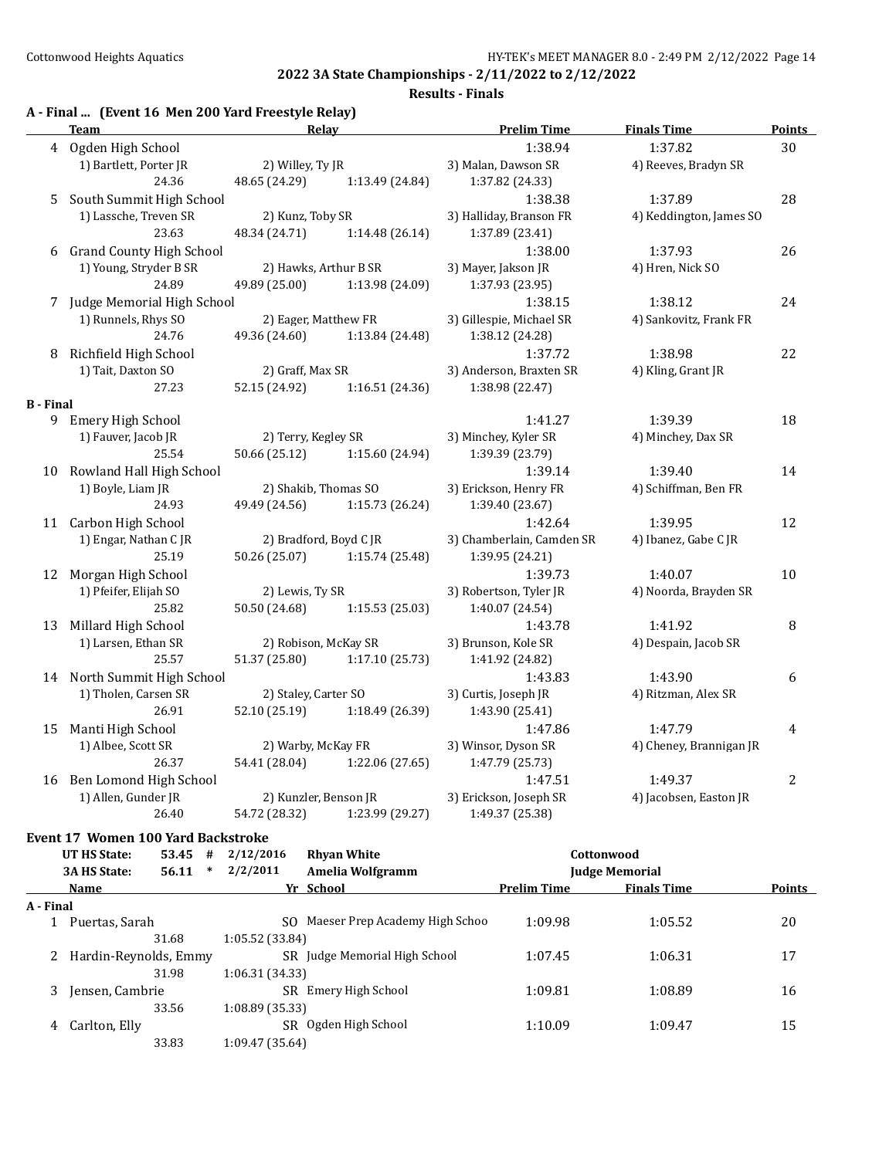#### **Results - Finals**

|                  | <b>Team</b>                     | Relay                  |                 | <b>Prelim Time</b>        | <b>Finals Time</b>      | <b>Points</b> |
|------------------|---------------------------------|------------------------|-----------------|---------------------------|-------------------------|---------------|
|                  | 4 Ogden High School             |                        |                 | 1:38.94                   | 1:37.82                 | 30            |
|                  | 1) Bartlett, Porter JR          | 2) Willey, Ty JR       |                 | 3) Malan, Dawson SR       | 4) Reeves, Bradyn SR    |               |
|                  | 24.36                           | 48.65 (24.29)          | 1:13.49 (24.84) | 1:37.82 (24.33)           |                         |               |
| 5                | South Summit High School        |                        |                 | 1:38.38                   | 1:37.89                 | 28            |
|                  | 1) Lassche, Treven SR           | 2) Kunz, Toby SR       |                 | 3) Halliday, Branson FR   | 4) Keddington, James SO |               |
|                  | 23.63                           | 48.34 (24.71)          | 1:14.48 (26.14) | 1:37.89 (23.41)           |                         |               |
| 6                | <b>Grand County High School</b> |                        |                 | 1:38.00                   | 1:37.93                 | 26            |
|                  | 1) Young, Stryder B SR          | 2) Hawks, Arthur B SR  |                 | 3) Mayer, Jakson JR       | 4) Hren, Nick SO        |               |
|                  | 24.89                           | 49.89 (25.00)          | 1:13.98 (24.09) | 1:37.93 (23.95)           |                         |               |
|                  | 7 Judge Memorial High School    |                        |                 | 1:38.15                   | 1:38.12                 | 24            |
|                  | 1) Runnels, Rhys SO             | 2) Eager, Matthew FR   |                 | 3) Gillespie, Michael SR  | 4) Sankovitz, Frank FR  |               |
|                  | 24.76                           | 49.36 (24.60)          | 1:13.84 (24.48) | 1:38.12 (24.28)           |                         |               |
| 8                | Richfield High School           |                        |                 | 1:37.72                   | 1:38.98                 | 22            |
|                  | 1) Tait, Daxton SO              | 2) Graff, Max SR       |                 | 3) Anderson, Braxten SR   | 4) Kling, Grant JR      |               |
|                  | 27.23                           | 52.15 (24.92)          | 1:16.51 (24.36) | 1:38.98 (22.47)           |                         |               |
| <b>B</b> - Final |                                 |                        |                 |                           |                         |               |
|                  | 9 Emery High School             |                        |                 | 1:41.27                   | 1:39.39                 | 18            |
|                  | 1) Fauver, Jacob JR             | 2) Terry, Kegley SR    |                 | 3) Minchey, Kyler SR      | 4) Minchey, Dax SR      |               |
|                  | 25.54                           | 50.66 (25.12)          | 1:15.60 (24.94) | 1:39.39 (23.79)           |                         |               |
| 10               | Rowland Hall High School        |                        |                 | 1:39.14                   | 1:39.40                 | 14            |
|                  | 1) Boyle, Liam JR               | 2) Shakib, Thomas SO   |                 | 3) Erickson, Henry FR     | 4) Schiffman, Ben FR    |               |
|                  | 24.93                           | 49.49 (24.56)          | 1:15.73 (26.24) | 1:39.40 (23.67)           |                         |               |
|                  | 11 Carbon High School           |                        |                 | 1:42.64                   | 1:39.95                 | 12            |
|                  | 1) Engar, Nathan CJR            | 2) Bradford, Boyd C JR |                 | 3) Chamberlain, Camden SR | 4) Ibanez, Gabe C JR    |               |
|                  | 25.19                           | 50.26 (25.07)          | 1:15.74 (25.48) | 1:39.95 (24.21)           |                         |               |
|                  | 12 Morgan High School           |                        |                 | 1:39.73                   | 1:40.07                 | $10\,$        |
|                  | 1) Pfeifer, Elijah SO           | 2) Lewis, Ty SR        |                 | 3) Robertson, Tyler JR    | 4) Noorda, Brayden SR   |               |
|                  | 25.82                           | 50.50 (24.68)          | 1:15.53 (25.03) | 1:40.07 (24.54)           |                         |               |
| 13               | Millard High School             |                        |                 | 1:43.78                   | 1:41.92                 | 8             |
|                  | 1) Larsen, Ethan SR             | 2) Robison, McKay SR   |                 | 3) Brunson, Kole SR       | 4) Despain, Jacob SR    |               |
|                  | 25.57                           | 51.37 (25.80)          | 1:17.10 (25.73) | 1:41.92 (24.82)           |                         |               |
|                  | 14 North Summit High School     |                        |                 | 1:43.83                   | 1:43.90                 | 6             |
|                  | 1) Tholen, Carsen SR            | 2) Staley, Carter SO   |                 | 3) Curtis, Joseph JR      | 4) Ritzman, Alex SR     |               |
|                  | 26.91                           | 52.10 (25.19)          | 1:18.49 (26.39) | 1:43.90 (25.41)           |                         |               |
| 15               | Manti High School               |                        |                 | 1:47.86                   | 1:47.79                 | 4             |
|                  | 1) Albee, Scott SR              | 2) Warby, McKay FR     |                 | 3) Winsor, Dyson SR       | 4) Cheney, Brannigan JR |               |
|                  | 26.37                           | 54.41 (28.04)          | 1:22.06 (27.65) | 1:47.79 (25.73)           |                         |               |
|                  | 16 Ben Lomond High School       |                        |                 | 1:47.51                   | 1:49.37                 | $\sqrt{2}$    |
|                  | 1) Allen, Gunder JR             | 2) Kunzler, Benson JR  |                 | 3) Erickson, Joseph SR    | 4) Jacobsen, Easton JR  |               |
|                  | 26.40                           | 54.72 (28.32)          | 1:23.99 (29.27) | 1:49.37 (25.38)           |                         |               |

#### **Event 17 Women 100 Yard Backstroke**

|           | UT HS State:          | 53.45 | #      | 2/12/2016       | <b>Rhyan White</b>             |                    | Cottonwood            |               |
|-----------|-----------------------|-------|--------|-----------------|--------------------------------|--------------------|-----------------------|---------------|
|           | <b>3A HS State:</b>   | 56.11 | $\ast$ | 2/2/2011        | Amelia Wolfgramm               |                    | <b>Judge Memorial</b> |               |
|           | Name                  |       |        |                 | Yr School                      | <b>Prelim Time</b> | <b>Finals Time</b>    | <b>Points</b> |
| A - Final |                       |       |        |                 |                                |                    |                       |               |
|           | Puertas, Sarah        |       |        | SO.             | Maeser Prep Academy High Schoo | 1:09.98            | 1:05.52               | 20            |
|           |                       | 31.68 |        | 1:05.52 (33.84) |                                |                    |                       |               |
|           | Hardin-Reynolds, Emmy |       |        |                 | SR Judge Memorial High School  | 1:07.45            | 1:06.31               | 17            |
|           |                       | 31.98 |        | 1:06.31 (34.33) |                                |                    |                       |               |
| 3         | Jensen, Cambrie       |       |        |                 | SR Emery High School           | 1:09.81            | 1:08.89               | 16            |
|           |                       | 33.56 |        | 1:08.89(35.33)  |                                |                    |                       |               |
| 4         | Carlton, Elly         |       |        | SR.             | Ogden High School              | 1:10.09            | 1:09.47               | 15            |
|           |                       | 33.83 |        | 1:09.47 (35.64) |                                |                    |                       |               |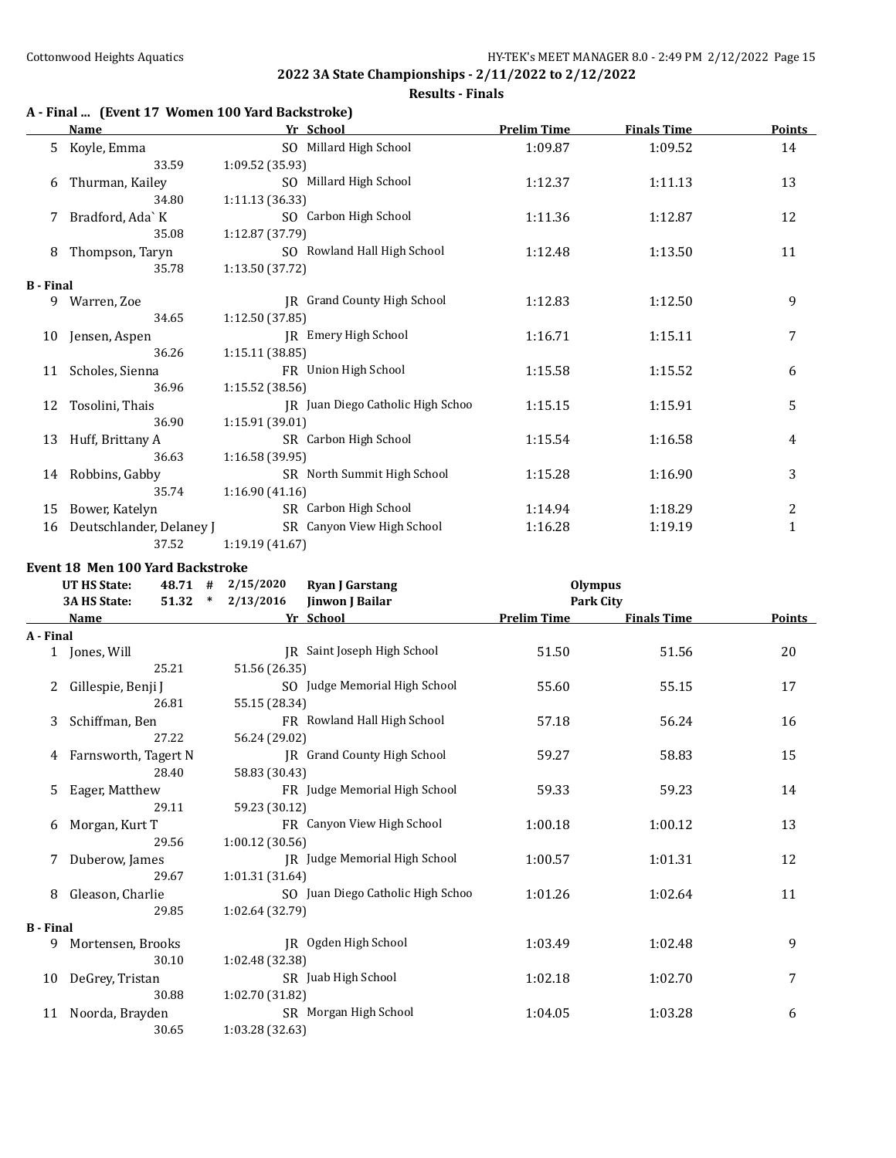#### **Results - Finals**

## **A - Final ... (Event 17 Women 100 Yard Backstroke)**

|                  | <b>Name</b>              | Yr School                         | <b>Prelim Time</b> | <b>Finals Time</b> | <b>Points</b> |
|------------------|--------------------------|-----------------------------------|--------------------|--------------------|---------------|
| 5.               | Koyle, Emma              | SO Millard High School            | 1:09.87            | 1:09.52            | 14            |
|                  | 33.59                    | 1:09.52 (35.93)                   |                    |                    |               |
| 6                | Thurman, Kailey          | SO Millard High School            | 1:12.37            | 1:11.13            | 13            |
|                  | 34.80                    | 1:11.13(36.33)                    |                    |                    |               |
| 7                | Bradford, Ada`K          | SO Carbon High School             | 1:11.36            | 1:12.87            | 12            |
|                  | 35.08                    | 1:12.87 (37.79)                   |                    |                    |               |
| 8                | Thompson, Taryn          | SO Rowland Hall High School       | 1:12.48            | 1:13.50            | 11            |
|                  | 35.78                    | 1:13.50(37.72)                    |                    |                    |               |
| <b>B</b> - Final |                          |                                   |                    |                    |               |
|                  | 9 Warren, Zoe            | JR Grand County High School       | 1:12.83            | 1:12.50            | 9             |
|                  | 34.65                    | 1:12.50(37.85)                    |                    |                    |               |
| 10               | Jensen, Aspen            | JR Emery High School              | 1:16.71            | 1:15.11            | 7             |
|                  | 36.26                    | 1:15.11(38.85)                    |                    |                    |               |
| 11               | Scholes, Sienna          | FR Union High School              | 1:15.58            | 1:15.52            | 6             |
|                  | 36.96                    | 1:15.52(38.56)                    |                    |                    |               |
| 12               | Tosolini, Thais          | JR Juan Diego Catholic High Schoo | 1:15.15            | 1:15.91            | 5             |
|                  | 36.90                    | 1:15.91 (39.01)                   |                    |                    |               |
| 13               | Huff, Brittany A         | SR Carbon High School             | 1:15.54            | 1:16.58            | 4             |
|                  | 36.63                    | 1:16.58(39.95)                    |                    |                    |               |
|                  | 14 Robbins, Gabby        | SR North Summit High School       | 1:15.28            | 1:16.90            | 3             |
|                  | 35.74                    | 1:16.90(41.16)                    |                    |                    |               |
| 15               | Bower, Katelyn           | SR Carbon High School             | 1:14.94            | 1:18.29            | 2             |
| 16               | Deutschlander, Delaney J | SR Canyon View High School        | 1:16.28            | 1:19.19            | $\mathbf{1}$  |
|                  | 37.52                    | 1:19.19(41.67)                    |                    |                    |               |

#### **Event 18 Men 100 Yard Backstroke**

|                  | 2/15/2020<br><b>UT HS State:</b><br>48.71 #<br><b>Ryan J Garstang</b><br>51.32<br>3A HS State:<br>2/13/2016<br>$\ast$ |                 | Jinwon J Bailar                    | <b>Olympus</b><br><b>Park City</b> |                    |        |
|------------------|-----------------------------------------------------------------------------------------------------------------------|-----------------|------------------------------------|------------------------------------|--------------------|--------|
|                  | Name                                                                                                                  |                 | Yr School                          | <b>Prelim Time</b>                 | <b>Finals Time</b> | Points |
| A - Final        |                                                                                                                       |                 |                                    |                                    |                    |        |
|                  | 1 Jones, Will                                                                                                         |                 | IR Saint Joseph High School        | 51.50                              | 51.56              | 20     |
|                  | 25.21                                                                                                                 | 51.56 (26.35)   |                                    |                                    |                    |        |
| 2                | Gillespie, Benji J                                                                                                    |                 | SO Judge Memorial High School      | 55.60                              | 55.15              | 17     |
|                  | 26.81                                                                                                                 | 55.15 (28.34)   |                                    |                                    |                    |        |
| 3                | Schiffman, Ben                                                                                                        |                 | FR Rowland Hall High School        | 57.18                              | 56.24              | 16     |
|                  | 27.22                                                                                                                 | 56.24 (29.02)   |                                    |                                    |                    |        |
| 4                | Farnsworth, Tagert N                                                                                                  |                 | <b>IR</b> Grand County High School | 59.27                              | 58.83              | 15     |
|                  | 28.40                                                                                                                 | 58.83 (30.43)   |                                    |                                    |                    |        |
| 5                | Eager, Matthew                                                                                                        |                 | FR Judge Memorial High School      | 59.33                              | 59.23              | 14     |
|                  | 29.11                                                                                                                 | 59.23 (30.12)   |                                    |                                    |                    |        |
| 6                | Morgan, Kurt T                                                                                                        |                 | FR Canyon View High School         | 1:00.18                            | 1:00.12            | 13     |
|                  | 29.56                                                                                                                 | 1:00.12(30.56)  |                                    |                                    |                    |        |
| 7                | Duberow, James                                                                                                        |                 | JR Judge Memorial High School      | 1:00.57                            | 1:01.31            | 12     |
|                  | 29.67                                                                                                                 | 1:01.31(31.64)  |                                    |                                    |                    |        |
| 8                | Gleason, Charlie                                                                                                      |                 | SO Juan Diego Catholic High Schoo  | 1:01.26                            | 1:02.64            | 11     |
|                  | 29.85                                                                                                                 | 1:02.64 (32.79) |                                    |                                    |                    |        |
| <b>B</b> - Final |                                                                                                                       |                 |                                    |                                    |                    |        |
| 9                | Mortensen, Brooks                                                                                                     |                 | JR Ogden High School               | 1:03.49                            | 1:02.48            | 9      |
|                  | 30.10                                                                                                                 | 1:02.48 (32.38) |                                    |                                    |                    |        |
| 10               | DeGrey, Tristan                                                                                                       |                 | SR Juab High School                | 1:02.18                            | 1:02.70            | 7      |
|                  | 30.88                                                                                                                 | 1:02.70 (31.82) |                                    |                                    |                    |        |
| 11               | Noorda, Brayden                                                                                                       |                 | SR Morgan High School              | 1:04.05                            | 1:03.28            | 6      |
|                  | 30.65                                                                                                                 | 1:03.28 (32.63) |                                    |                                    |                    |        |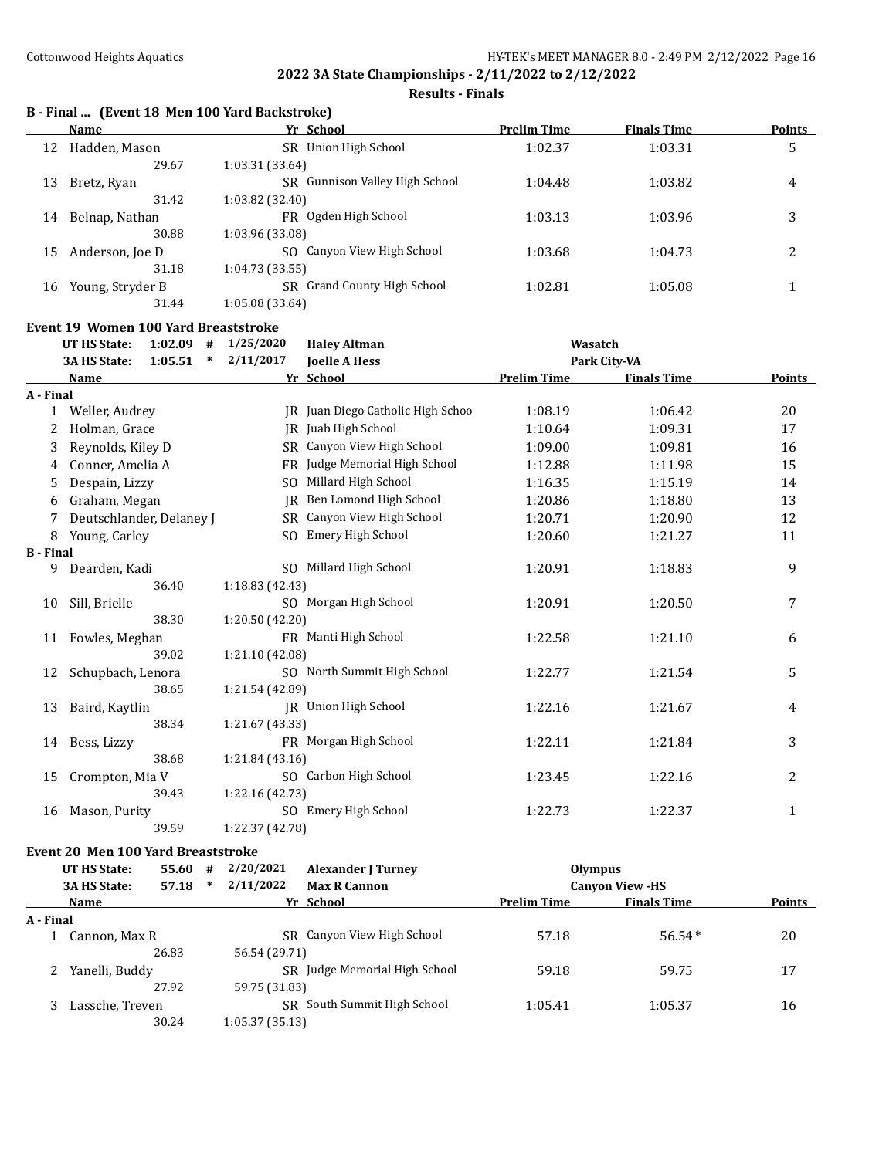**Results - Finals**

# **B - Final ... (Event 18 Men 100 Yard Backstroke)**

|    | Name             | Yr School                          | <b>Prelim Time</b> | <b>Finals Time</b> | <b>Points</b> |
|----|------------------|------------------------------------|--------------------|--------------------|---------------|
| 12 | Hadden, Mason    | Union High School<br>SR.           | 1:02.37            | 1:03.31            | 5             |
|    | 29.67            | 1:03.31 (33.64)                    |                    |                    |               |
| 13 | Bretz, Ryan      | Gunnison Valley High School<br>SR. | 1:04.48            | 1:03.82            | 4             |
|    | 31.42            | 1:03.82 (32.40)                    |                    |                    |               |
| 14 | Belnap, Nathan   | Ogden High School<br>FR.           | 1:03.13            | 1:03.96            | 3             |
|    | 30.88            | 1:03.96 (33.08)                    |                    |                    |               |
| 15 | Anderson, Joe D  | SO Canyon View High School         | 1:03.68            | 1:04.73            | າ<br>∠        |
|    | 31.18            | 1:04.73 (33.55)                    |                    |                    |               |
| 16 | Young, Stryder B | SR Grand County High School        | 1:02.81            | 1:05.08            |               |
|    | 31.44            | 1:05.08 (33.64)                    |                    |                    |               |

# **Event 19 Women 100 Yard Breaststroke**<br>**IT HS State:** 1:02.09 # 1/25/2020

|                  | <b>UT HS State:</b><br>1:02.09<br># | 1/25/2020       | <b>Haley Altman</b>               | Wasatch            |                    |              |
|------------------|-------------------------------------|-----------------|-----------------------------------|--------------------|--------------------|--------------|
|                  | 3A HS State:<br>1:05.51<br>$\ast$   | 2/11/2017       | <b>Joelle A Hess</b>              |                    | Park City-VA       |              |
|                  | Name                                |                 | Yr School                         | <b>Prelim Time</b> | <b>Finals Time</b> | Points       |
| A - Final        |                                     |                 |                                   |                    |                    |              |
| 1                | Weller, Audrey                      |                 | JR Juan Diego Catholic High Schoo | 1:08.19            | 1:06.42            | 20           |
| 2                | Holman, Grace                       |                 | IR Juab High School               | 1:10.64            | 1:09.31            | 17           |
| 3                | Reynolds, Kiley D                   |                 | SR Canyon View High School        | 1:09.00            | 1:09.81            | 16           |
| 4                | Conner, Amelia A                    |                 | FR Judge Memorial High School     | 1:12.88            | 1:11.98            | 15           |
| 5                | Despain, Lizzy                      | SO.             | Millard High School               | 1:16.35            | 1:15.19            | 14           |
| 6                | Graham, Megan                       | IR              | Ben Lomond High School            | 1:20.86            | 1:18.80            | 13           |
|                  | Deutschlander, Delaney J            | SR              | Canyon View High School           | 1:20.71            | 1:20.90            | 12           |
| 8                | Young, Carley                       | SO.             | Emery High School                 | 1:20.60            | 1:21.27            | 11           |
| <b>B</b> - Final |                                     |                 |                                   |                    |                    |              |
| 9                | Dearden, Kadi                       |                 | SO Millard High School            | 1:20.91            | 1:18.83            | 9            |
|                  | 36.40                               | 1:18.83(42.43)  |                                   |                    |                    |              |
| 10               | Sill, Brielle                       |                 | SO Morgan High School             | 1:20.91            | 1:20.50            | 7            |
|                  | 38.30                               | 1:20.50 (42.20) |                                   |                    |                    |              |
| 11               | Fowles, Meghan                      |                 | FR Manti High School              | 1:22.58            | 1:21.10            | 6            |
|                  | 39.02                               | 1:21.10 (42.08) |                                   |                    |                    |              |
| 12               | Schupbach, Lenora                   |                 | SO North Summit High School       | 1:22.77            | 1:21.54            | 5            |
|                  | 38.65                               | 1:21.54 (42.89) |                                   |                    |                    |              |
| 13               | Baird, Kaytlin                      |                 | IR Union High School              | 1:22.16            | 1:21.67            | 4            |
|                  | 38.34                               | 1:21.67 (43.33) |                                   |                    |                    |              |
| 14               | Bess, Lizzy                         |                 | FR Morgan High School             | 1:22.11            | 1:21.84            | 3            |
|                  | 38.68                               | 1:21.84(43.16)  |                                   |                    |                    |              |
| 15               | Crompton, Mia V                     |                 | SO Carbon High School             | 1:23.45            | 1:22.16            | 2            |
|                  | 39.43                               | 1:22.16(42.73)  |                                   |                    |                    |              |
| 16               | Mason, Purity                       |                 | SO Emery High School              | 1:22.73            | 1:22.37            | $\mathbf{1}$ |
|                  | 39.59                               | 1:22.37 (42.78) |                                   |                    |                    |              |

#### **Event 20 Men 100 Yard Breaststroke**

|           | UT HS State:        | 55.60 | # | 2/20/2021      | <b>Alexander J Turney</b>     | Olympus            |                        |               |
|-----------|---------------------|-------|---|----------------|-------------------------------|--------------------|------------------------|---------------|
|           | <b>3A HS State:</b> | 57.18 | ∗ | 2/11/2022      | <b>Max R Cannon</b>           |                    | <b>Canyon View -HS</b> |               |
|           | Name                |       |   |                | Yr School                     | <b>Prelim Time</b> | <b>Finals Time</b>     | <b>Points</b> |
| A - Final |                     |       |   |                |                               |                    |                        |               |
|           | Cannon, Max R       |       |   |                | SR Canyon View High School    | 57.18              | $56.54*$               | 20            |
|           |                     | 26.83 |   | 56.54 (29.71)  |                               |                    |                        |               |
|           | Yanelli, Buddy      |       |   |                | SR Judge Memorial High School | 59.18              | 59.75                  | 17            |
|           |                     | 27.92 |   | 59.75 (31.83)  |                               |                    |                        |               |
|           | Lassche, Treven     |       |   | SR.            | South Summit High School      | 1:05.41            | 1:05.37                | 16            |
|           |                     | 30.24 |   | 1:05.37(35.13) |                               |                    |                        |               |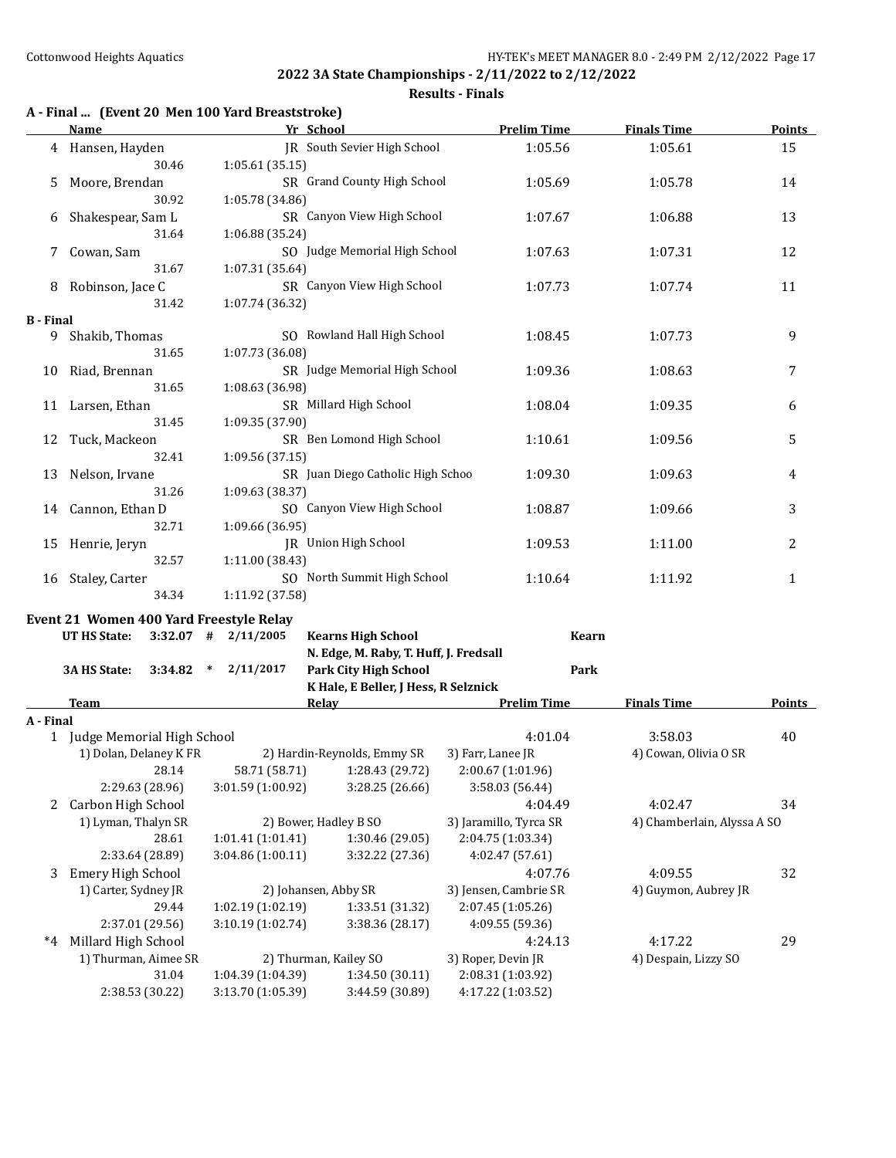#### **Results - Finals**

# **A - Final ... (Event 20 Men 100 Yard Breaststroke)**

|                  | <b>Name</b>                             |       |                         | Yr School                              |                   | <b>Prelim Time</b> | <b>Finals Time</b>    | Points |
|------------------|-----------------------------------------|-------|-------------------------|----------------------------------------|-------------------|--------------------|-----------------------|--------|
|                  | 4 Hansen, Hayden                        |       |                         | IR South Sevier High School            |                   | 1:05.56            | 1:05.61               | 15     |
|                  |                                         | 30.46 | 1:05.61(35.15)          |                                        |                   |                    |                       |        |
| 5                | Moore, Brendan                          |       |                         | SR Grand County High School            |                   | 1:05.69            | 1:05.78               | 14     |
|                  |                                         | 30.92 | 1:05.78 (34.86)         |                                        |                   |                    |                       |        |
| 6                | Shakespear, Sam L                       |       |                         | SR Canyon View High School             |                   | 1:07.67            | 1:06.88               | 13     |
|                  |                                         | 31.64 | 1:06.88 (35.24)         |                                        |                   |                    |                       |        |
| 7                | Cowan, Sam                              |       |                         | SO Judge Memorial High School          |                   | 1:07.63            | 1:07.31               | 12     |
|                  |                                         | 31.67 | 1:07.31 (35.64)         |                                        |                   |                    |                       |        |
| 8                | Robinson, Jace C                        |       |                         | SR Canyon View High School             |                   | 1:07.73            | 1:07.74               | 11     |
|                  |                                         | 31.42 | 1:07.74 (36.32)         |                                        |                   |                    |                       |        |
| <b>B</b> - Final |                                         |       |                         |                                        |                   |                    |                       |        |
|                  | 9 Shakib, Thomas                        |       |                         | SO Rowland Hall High School            |                   | 1:08.45            | 1:07.73               | 9      |
|                  |                                         | 31.65 | 1:07.73 (36.08)         |                                        |                   |                    |                       |        |
|                  | 10 Riad, Brennan                        |       |                         | SR Judge Memorial High School          |                   | 1:09.36            | 1:08.63               | 7      |
|                  |                                         | 31.65 | 1:08.63 (36.98)         |                                        |                   |                    |                       |        |
|                  | 11 Larsen, Ethan                        |       |                         | SR Millard High School                 |                   | 1:08.04            | 1:09.35               | 6      |
|                  |                                         | 31.45 | 1:09.35 (37.90)         |                                        |                   |                    |                       |        |
| 12               | Tuck, Mackeon                           |       |                         | SR Ben Lomond High School              |                   | 1:10.61            | 1:09.56               | 5      |
|                  |                                         | 32.41 | 1:09.56(37.15)          |                                        |                   |                    |                       |        |
| 13               | Nelson, Irvane                          |       |                         | SR Juan Diego Catholic High Schoo      |                   | 1:09.30            | 1:09.63               | 4      |
|                  |                                         | 31.26 | 1:09.63 (38.37)         |                                        |                   |                    |                       |        |
|                  | 14 Cannon, Ethan D                      |       |                         | SO Canyon View High School             |                   | 1:08.87            | 1:09.66               | 3      |
|                  |                                         | 32.71 | 1:09.66 (36.95)         |                                        |                   |                    |                       |        |
| 15               | Henrie, Jeryn                           |       | JR Union High School    |                                        |                   | 1:09.53            | 1:11.00               | 2      |
|                  |                                         | 32.57 | 1:11.00 (38.43)         |                                        |                   |                    |                       |        |
|                  | 16 Staley, Carter                       |       |                         | SO North Summit High School            |                   | 1:10.64            | 1:11.92               | 1      |
|                  |                                         | 34.34 | 1:11.92 (37.58)         |                                        |                   |                    |                       |        |
|                  | Event 21 Women 400 Yard Freestyle Relay |       |                         |                                        |                   |                    |                       |        |
|                  | UT HS State:                            |       | $3:32.07$ # $2/11/2005$ | <b>Kearns High School</b>              |                   | <b>Kearn</b>       |                       |        |
|                  |                                         |       |                         | N. Edge, M. Raby, T. Huff, J. Fredsall |                   |                    |                       |        |
|                  | 3A HS State:                            |       | $3:34.82$ * $2/11/2017$ | <b>Park City High School</b>           |                   | Park               |                       |        |
|                  |                                         |       |                         | K Hale, E Beller, J Hess, R Selznick   |                   |                    |                       |        |
|                  | <b>Team</b>                             |       |                         | <b>Relay Example 2018</b>              |                   | <b>Prelim Time</b> | <b>Finals Time</b>    | Points |
| A - Final        |                                         |       |                         |                                        |                   |                    |                       |        |
|                  | 1 Judge Memorial High School            |       |                         |                                        |                   | 4:01.04            | 3:58.03               | 40     |
|                  | 1) Dolan, Delaney K FR                  |       |                         | 2) Hardin-Reynolds, Emmy SR            | 3) Farr, Lanee JR |                    | 4) Cowan, Olivia O SR |        |
|                  |                                         | 28.14 | 58.71 (58.71)           | 1:28.43 (29.72)                        | 2:00.67 (1:01.96) |                    |                       |        |

|      | 28.14                | 58.71 (58.71)         | 1:28.43 (29.72) | 2:00.67(1:01.96)       |                             |    |
|------|----------------------|-----------------------|-----------------|------------------------|-----------------------------|----|
|      | 2:29.63 (28.96)      | 3:01.59(1:00.92)      | 3:28.25(26.66)  | 3:58.03(56.44)         |                             |    |
| 2    | Carbon High School   |                       |                 | 4:04.49                | 4:02.47                     | 34 |
|      | 1) Lyman, Thalyn SR  | 2) Bower, Hadley B SO |                 | 3) Jaramillo, Tyrca SR | 4) Chamberlain, Alyssa A SO |    |
|      | 28.61                | 1:01.41(1:01.41)      | 1:30.46(29.05)  | 2:04.75 (1:03.34)      |                             |    |
|      | 2:33.64 (28.89)      | 3:04.86(1:00.11)      | 3:32.22 (27.36) | 4:02.47 (57.61)        |                             |    |
| 3    | Emery High School    |                       |                 | 4:07.76                | 4:09.55                     | 32 |
|      | 1) Carter, Sydney JR | 2) Johansen, Abby SR  |                 | 3) Jensen, Cambrie SR  | 4) Guymon, Aubrey JR        |    |
|      | 29.44                | 1:02.19(1:02.19)      | 1:33.51 (31.32) | 2:07.45(1:05.26)       |                             |    |
|      | 2:37.01 (29.56)      | 3:10.19(1:02.74)      | 3:38.36 (28.17) | 4:09.55 (59.36)        |                             |    |
| $*4$ | Millard High School  |                       |                 | 4:24.13                | 4:17.22                     | 29 |
|      | 1) Thurman, Aimee SR | 2) Thurman, Kailey SO |                 | 3) Roper, Devin JR     | 4) Despain, Lizzy SO        |    |
|      | 31.04                | 1:04.39 (1:04.39)     | 1:34.50(30.11)  | 2:08.31 (1:03.92)      |                             |    |
|      | 2:38.53 (30.22)      | 3:13.70 (1:05.39)     | 3:44.59 (30.89) | 4:17.22 (1:03.52)      |                             |    |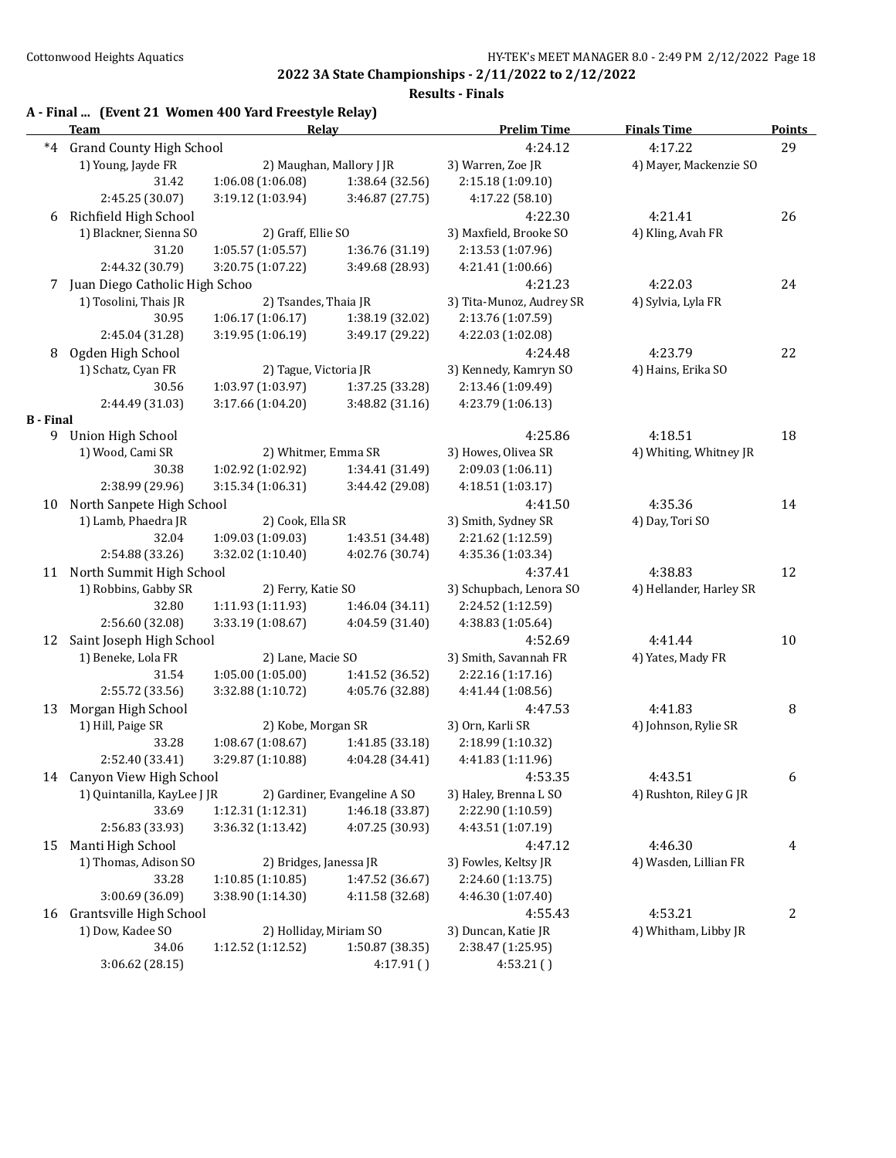|                  | A - Final  (Event 21 Women 400 Yard Freestyle Relay)<br><b>Team</b> | Relay                                |                                               | <b>Prelim Time</b>                                      | <b>Finals Time</b>      | <b>Points</b> |
|------------------|---------------------------------------------------------------------|--------------------------------------|-----------------------------------------------|---------------------------------------------------------|-------------------------|---------------|
| $*4$             | <b>Grand County High School</b>                                     |                                      |                                               | 4:24.12                                                 | 4:17.22                 | 29            |
|                  | 1) Young, Jayde FR                                                  |                                      | 2) Maughan, Mallory J JR                      | 3) Warren, Zoe JR                                       | 4) Mayer, Mackenzie SO  |               |
|                  | 31.42                                                               | 1:06.08 (1:06.08)                    | 1:38.64 (32.56)                               | 2:15.18 (1:09.10)                                       |                         |               |
|                  | 2:45.25 (30.07)                                                     | 3:19.12 (1:03.94)                    | 3:46.87 (27.75)                               | 4:17.22 (58.10)                                         |                         |               |
| 6                | Richfield High School                                               |                                      |                                               | 4:22.30                                                 | 4:21.41                 | 26            |
|                  | 1) Blackner, Sienna SO                                              | 2) Graff, Ellie SO                   |                                               | 3) Maxfield, Brooke SO                                  | 4) Kling, Avah FR       |               |
|                  | 31.20                                                               | 1:05.57 (1:05.57)<br>1:36.76 (31.19) |                                               | 2:13.53 (1:07.96)                                       |                         |               |
|                  | 2:44.32 (30.79)                                                     | 3:20.75 (1:07.22)                    | 3:49.68 (28.93)                               | 4:21.41 (1:00.66)                                       |                         |               |
| 7.               | Juan Diego Catholic High Schoo                                      |                                      |                                               | 4:21.23                                                 | 4:22.03                 | 24            |
|                  | 1) Tosolini, Thais JR                                               | 2) Tsandes, Thaia JR                 |                                               | 3) Tita-Munoz, Audrey SR                                | 4) Sylvia, Lyla FR      |               |
|                  | 30.95                                                               | 1:06.17 (1:06.17)                    | 1:38.19 (32.02)                               | 2:13.76 (1:07.59)                                       |                         |               |
|                  | 2:45.04 (31.28)                                                     | 3:19.95 (1:06.19)                    | 3:49.17 (29.22)                               | 4:22.03 (1:02.08)                                       |                         |               |
| 8                | Ogden High School                                                   |                                      |                                               | 4:24.48                                                 | 4:23.79                 | 22            |
|                  | 1) Schatz, Cyan FR                                                  | 2) Tague, Victoria JR                |                                               | 3) Kennedy, Kamryn SO                                   | 4) Hains, Erika SO      |               |
|                  | 30.56                                                               | 1:03.97 (1:03.97)                    | 1:37.25 (33.28)                               | 2:13.46 (1:09.49)                                       |                         |               |
|                  | 2:44.49 (31.03)                                                     | 3:17.66 (1:04.20)                    | 3:48.82(31.16)                                | 4:23.79 (1:06.13)                                       |                         |               |
| <b>B</b> - Final |                                                                     |                                      |                                               |                                                         |                         |               |
| 9                | <b>Union High School</b>                                            |                                      |                                               | 4:25.86                                                 | 4:18.51                 | 18            |
|                  | 1) Wood, Cami SR                                                    | 2) Whitmer, Emma SR                  |                                               | 3) Howes, Olivea SR                                     | 4) Whiting, Whitney JR  |               |
|                  | 30.38                                                               | 1:02.92 (1:02.92)                    | 1:34.41 (31.49)                               | 2:09.03 (1:06.11)                                       |                         |               |
|                  | 2:38.99 (29.96)                                                     | 3:15.34 (1:06.31)                    | 3:44.42 (29.08)                               | 4:18.51(1:03.17)                                        |                         |               |
| 10               | North Sanpete High School                                           |                                      |                                               | 4:41.50                                                 | 4:35.36                 | 14            |
|                  | 1) Lamb, Phaedra JR                                                 | 2) Cook, Ella SR                     |                                               | 3) Smith, Sydney SR                                     | 4) Day, Tori SO         |               |
|                  | 32.04                                                               | 1:09.03 (1:09.03)                    | 1:43.51 (34.48)                               | 2:21.62 (1:12.59)                                       |                         |               |
|                  | 2:54.88 (33.26)                                                     | 3:32.02 (1:10.40)                    | 4:02.76 (30.74)                               | 4:35.36 (1:03.34)                                       |                         |               |
| 11               | North Summit High School                                            |                                      |                                               | 4:37.41                                                 | 4:38.83                 | 12            |
|                  | 1) Robbins, Gabby SR                                                | 2) Ferry, Katie SO                   |                                               | 3) Schupbach, Lenora SO                                 | 4) Hellander, Harley SR |               |
|                  | 32.80                                                               | 1:11.93 (1:11.93)                    | 1:46.04 (34.11)                               | 2:24.52 (1:12.59)                                       |                         |               |
|                  | 2:56.60 (32.08)                                                     | 3:33.19 (1:08.67)                    | 4:04.59 (31.40)                               | 4:38.83 (1:05.64)                                       |                         |               |
| 12               | Saint Joseph High School                                            |                                      |                                               | 4:52.69                                                 | 4:41.44                 | 10            |
|                  | 1) Beneke, Lola FR                                                  | 2) Lane, Macie SO                    |                                               | 3) Smith, Savannah FR                                   | 4) Yates, Mady FR       |               |
|                  | 31.54                                                               | 1:05.00 (1:05.00)                    | 1:41.52 (36.52)                               | 2:22.16 (1:17.16)                                       |                         |               |
|                  | 2:55.72 (33.56)                                                     | 3:32.88 (1:10.72)                    | 4:05.76 (32.88)                               | 4:41.44 (1:08.56)                                       |                         |               |
| 13               | Morgan High School                                                  |                                      |                                               | 4:47.53                                                 | 4:41.83                 | 8             |
|                  | 1) Hill, Paige SR                                                   | 2) Kobe, Morgan SR                   |                                               | 3) Orn, Karli SR                                        | 4) Johnson, Rylie SR    |               |
|                  | 33.28                                                               | 1:08.67(1:08.67)                     | 1:41.85 (33.18)                               | 2:18.99 (1:10.32)                                       |                         |               |
|                  | 2:52.40 (33.41)                                                     |                                      |                                               | 3:29.87 (1:10.88) $4:04.28$ (34.41) $4:41.83$ (1:11.96) |                         |               |
|                  | 14 Canyon View High School                                          |                                      |                                               | 4:53.35                                                 | 4:43.51                 | 6             |
|                  | 1) Quintanilla, KayLee J JR                                         |                                      | 2) Gardiner, Evangeline A SO                  | 3) Haley, Brenna L SO                                   | 4) Rushton, Riley G JR  |               |
|                  | 33.69                                                               | 1:12.31 (1:12.31)                    | 1:46.18 (33.87)                               | 2:22.90 (1:10.59)                                       |                         |               |
|                  | 2:56.83 (33.93)                                                     | 3:36.32 (1:13.42)                    | 4:07.25 (30.93)                               | 4:43.51 (1:07.19)                                       |                         |               |
| 15               | Manti High School                                                   |                                      | 4:47.12                                       | 4:46.30                                                 | 4                       |               |
|                  | 1) Thomas, Adison SO<br>2) Bridges, Janessa JR                      |                                      | 3) Fowles, Keltsy JR<br>4) Wasden, Lillian FR |                                                         |                         |               |
|                  | 33.28                                                               | 1:10.85 (1:10.85)<br>1:47.52 (36.67) |                                               | 2:24.60 (1:13.75)                                       |                         |               |
|                  | 3:00.69 (36.09)                                                     | 3:38.90 (1:14.30)                    | 4:11.58 (32.68)                               | 4:46.30 (1:07.40)                                       |                         |               |
| 16               | Grantsville High School                                             |                                      |                                               | 4:55.43                                                 | 4:53.21                 | 2             |
|                  | 1) Dow, Kadee SO                                                    | 2) Holliday, Miriam SO               |                                               | 3) Duncan, Katie JR                                     | 4) Whitham, Libby JR    |               |
|                  | 34.06                                                               | 1:12.52 (1:12.52)                    | 1:50.87 (38.35)                               | 2:38.47 (1:25.95)                                       |                         |               |
|                  | 3:06.62 (28.15)                                                     |                                      | 4:17.91()                                     | 4:53.21()                                               |                         |               |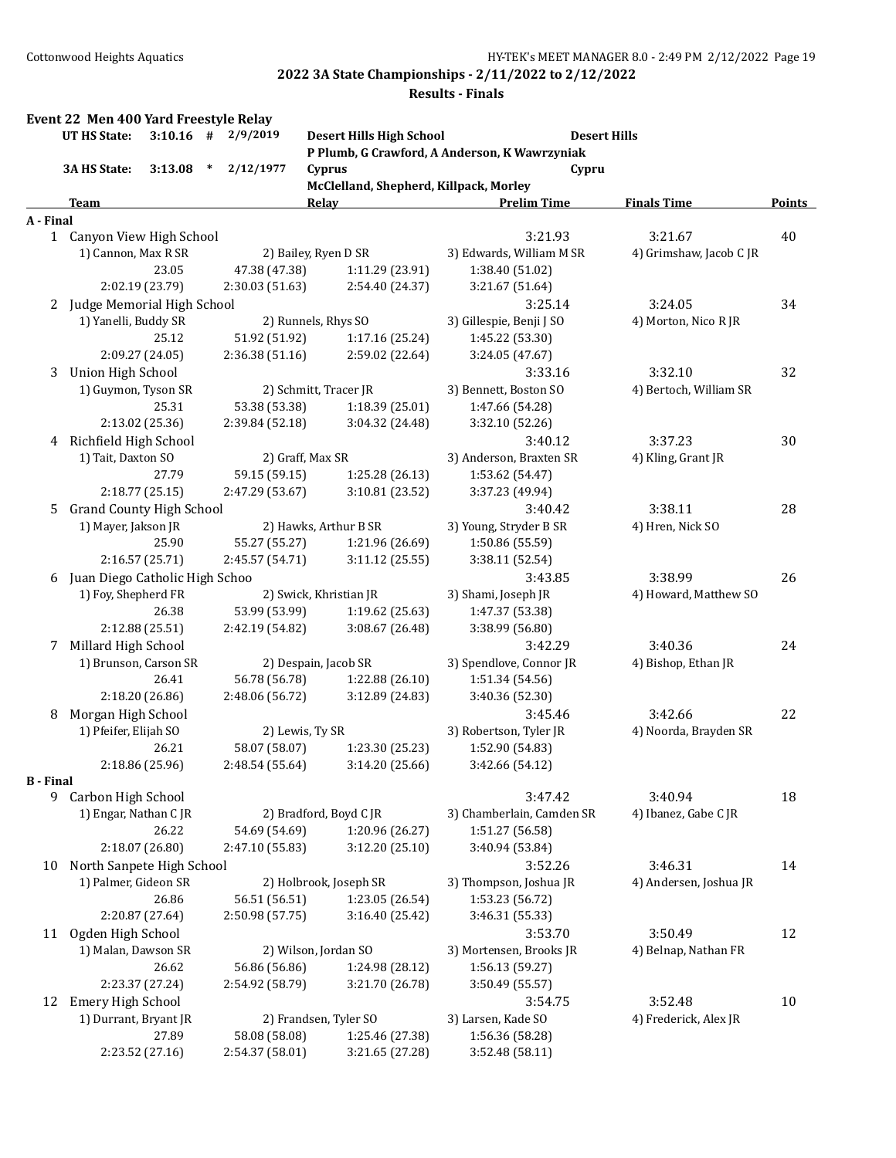|                  | Event 22 Men 400 Yard Freestyle Relay<br>UT HS State: |                          |               | $3:10.16$ # $2/9/2019$           |                 | <b>Desert Hills High School</b>        |                                               | <b>Desert Hills</b>     |    |               |
|------------------|-------------------------------------------------------|--------------------------|---------------|----------------------------------|-----------------|----------------------------------------|-----------------------------------------------|-------------------------|----|---------------|
|                  |                                                       |                          |               |                                  |                 |                                        | P Plumb, G Crawford, A Anderson, K Wawrzyniak |                         |    |               |
|                  | 3A HS State:                                          | 3:13.08                  | $\ast$        | 2/12/1977                        |                 | Cyprus                                 |                                               | Cypru                   |    |               |
|                  |                                                       |                          |               |                                  |                 | McClelland, Shepherd, Killpack, Morley |                                               |                         |    |               |
|                  | Team                                                  |                          |               |                                  | <b>Relay</b>    |                                        | <b>Prelim Time</b>                            | <b>Finals Time</b>      |    | <b>Points</b> |
| A - Final        | 1 Canyon View High School                             |                          |               |                                  |                 |                                        | 3:21.93                                       | 3:21.67                 | 40 |               |
|                  | 1) Cannon, Max R SR                                   |                          |               |                                  |                 | 2) Bailey, Ryen D SR                   | 3) Edwards, William M SR                      | 4) Grimshaw, Jacob C JR |    |               |
|                  |                                                       | 23.05                    |               | 47.38 (47.38)                    |                 | 1:11.29 (23.91)                        | 1:38.40 (51.02)                               |                         |    |               |
|                  |                                                       | 2:02.19 (23.79)          |               | 2:30.03 (51.63)                  |                 | 2:54.40 (24.37)                        | 3:21.67 (51.64)                               |                         |    |               |
|                  | 2 Judge Memorial High School                          |                          |               |                                  |                 |                                        | 3:25.14                                       | 3:24.05                 |    | 34            |
|                  | 1) Yanelli, Buddy SR                                  |                          |               |                                  |                 | 2) Runnels, Rhys SO                    | 3) Gillespie, Benji J SO                      | 4) Morton, Nico R JR    |    |               |
|                  |                                                       | 25.12                    |               | 51.92 (51.92)                    |                 | 1:17.16 (25.24)                        | 1:45.22 (53.30)                               |                         |    |               |
|                  |                                                       | 2:09.27 (24.05)          |               | 2:36.38 (51.16)                  |                 | 2:59.02 (22.64)                        | 3:24.05 (47.67)                               |                         |    |               |
| 3                | Union High School                                     |                          |               |                                  |                 |                                        | 3:33.16                                       | 3:32.10                 | 32 |               |
|                  | 1) Guymon, Tyson SR                                   |                          |               |                                  |                 | 2) Schmitt, Tracer JR                  | 3) Bennett, Boston SO                         | 4) Bertoch, William SR  |    |               |
|                  |                                                       | 25.31                    |               | 53.38 (53.38)                    |                 | 1:18.39 (25.01)                        | 1:47.66 (54.28)                               |                         |    |               |
|                  |                                                       | 2:13.02 (25.36)          |               | 2:39.84 (52.18)                  |                 | 3:04.32 (24.48)                        | 3:32.10 (52.26)                               |                         |    |               |
| 4                | Richfield High School                                 |                          |               |                                  |                 |                                        | 3:40.12                                       | 3:37.23                 |    | 30            |
|                  | 1) Tait, Daxton SO                                    |                          |               | 2) Graff, Max SR                 |                 |                                        | 3) Anderson, Braxten SR                       | 4) Kling, Grant JR      |    |               |
|                  | 27.79                                                 |                          | 59.15 (59.15) |                                  | 1:25.28 (26.13) | 1:53.62 (54.47)                        |                                               |                         |    |               |
|                  |                                                       | 2:18.77 (25.15)          |               | 2:47.29 (53.67)                  |                 | 3:10.81 (23.52)                        | 3:37.23 (49.94)                               |                         |    |               |
| 5                | <b>Grand County High School</b>                       |                          |               |                                  |                 |                                        | 3:40.42                                       | 3:38.11                 |    | 28            |
|                  | 1) Mayer, Jakson JR                                   |                          |               |                                  |                 | 2) Hawks, Arthur B SR                  | 3) Young, Stryder B SR                        | 4) Hren, Nick SO        |    |               |
|                  |                                                       | 25.90                    |               | 55.27 (55.27)                    |                 | 1:21.96 (26.69)                        | 1:50.86 (55.59)                               |                         |    |               |
|                  |                                                       | 2:16.57 (25.71)          |               | 2:45.57 (54.71)                  |                 | 3:11.12(25.55)                         | 3:38.11 (52.54)                               |                         |    |               |
| 6                | Juan Diego Catholic High Schoo                        |                          |               |                                  |                 |                                        | 3:43.85                                       | 3:38.99                 |    | 26            |
|                  | 1) Foy, Shepherd FR                                   |                          |               |                                  |                 | 2) Swick, Khristian JR                 | 3) Shami, Joseph JR                           | 4) Howard, Matthew SO   |    |               |
|                  |                                                       | 26.38                    |               | 53.99 (53.99)                    |                 | 1:19.62 (25.63)                        | 1:47.37 (53.38)                               |                         |    |               |
|                  |                                                       | 2:12.88 (25.51)          |               | 2:42.19 (54.82)                  |                 | 3:08.67 (26.48)                        | 3:38.99 (56.80)                               |                         |    |               |
| 7                | Millard High School                                   |                          |               |                                  |                 |                                        | 3:42.29                                       | 3:40.36                 |    | 24            |
|                  | 1) Brunson, Carson SR                                 |                          |               |                                  |                 | 2) Despain, Jacob SR                   | 3) Spendlove, Connor JR                       | 4) Bishop, Ethan JR     |    |               |
|                  |                                                       | 26.41                    |               | 56.78 (56.78)                    |                 | 1:22.88 (26.10)                        | 1:51.34 (54.56)                               |                         |    |               |
|                  |                                                       | 2:18.20 (26.86)          |               | 2:48.06 (56.72)                  |                 | 3:12.89 (24.83)                        | 3:40.36 (52.30)                               |                         |    |               |
| 8                | Morgan High School                                    |                          |               |                                  |                 |                                        | 3:45.46                                       | 3:42.66                 | 22 |               |
|                  | 1) Pfeifer, Elijah SO                                 |                          |               | 2) Lewis, Ty SR                  |                 |                                        | 3) Robertson, Tyler JR                        | 4) Noorda, Brayden SR   |    |               |
|                  |                                                       | 26.21                    |               | 58.07 (58.07)                    |                 | 1:23.30 (25.23)                        | 1:52.90 (54.83)                               |                         |    |               |
|                  |                                                       | 2:18.86 (25.96)          |               | 2:48.54 (55.64)                  |                 | 3:14.20 (25.66)                        | 3:42.66 (54.12)                               |                         |    |               |
| <b>B</b> - Final |                                                       |                          |               |                                  |                 |                                        |                                               |                         |    |               |
|                  | 9 Carbon High School                                  |                          |               |                                  |                 |                                        | 3:47.42                                       | 3:40.94                 |    | 18            |
|                  | 1) Engar, Nathan C JR                                 |                          |               |                                  |                 | 2) Bradford, Boyd C JR                 | 3) Chamberlain, Camden SR                     | 4) Ibanez, Gabe C JR    |    |               |
|                  |                                                       | 26.22                    |               | 54.69 (54.69)                    |                 | 1:20.96 (26.27)                        | 1:51.27 (56.58)                               |                         |    |               |
|                  |                                                       | 2:18.07 (26.80)          |               | 2:47.10 (55.83)                  |                 | 3:12.20 (25.10)                        | 3:40.94 (53.84)                               |                         |    |               |
| 10               | North Sanpete High School                             |                          |               |                                  |                 |                                        | 3:52.26                                       | 3:46.31                 |    | 14            |
|                  | 1) Palmer, Gideon SR                                  |                          |               |                                  |                 | 2) Holbrook, Joseph SR                 | 3) Thompson, Joshua JR                        | 4) Andersen, Joshua JR  |    |               |
|                  |                                                       | 26.86                    |               | 56.51 (56.51)                    |                 | 1:23.05 (26.54)                        | 1:53.23 (56.72)                               |                         |    |               |
|                  |                                                       | 2:20.87 (27.64)          |               | 2:50.98 (57.75)                  |                 | 3:16.40 (25.42)                        | 3:46.31 (55.33)                               |                         |    |               |
| 11               | Ogden High School                                     |                          |               |                                  |                 |                                        | 3:53.70                                       | 3:50.49                 | 12 |               |
|                  | 1) Malan, Dawson SR                                   |                          |               |                                  |                 | 2) Wilson, Jordan SO                   | 3) Mortensen, Brooks JR                       | 4) Belnap, Nathan FR    |    |               |
|                  |                                                       | 26.62                    |               | 56.86 (56.86)                    |                 | 1:24.98 (28.12)                        | 1:56.13 (59.27)                               |                         |    |               |
|                  |                                                       | 2:23.37 (27.24)          |               | 2:54.92 (58.79)                  |                 | 3:21.70 (26.78)                        | 3:50.49 (55.57)                               |                         |    |               |
| 12               | Emery High School                                     |                          |               |                                  |                 |                                        | 3:54.75                                       | 3:52.48                 | 10 |               |
|                  | 1) Durrant, Bryant JR                                 |                          |               |                                  |                 | 2) Frandsen, Tyler SO                  | 3) Larsen, Kade SO                            | 4) Frederick, Alex JR   |    |               |
|                  |                                                       | 27.89<br>2:23.52 (27.16) |               | 58.08 (58.08)<br>2:54.37 (58.01) |                 | 1:25.46 (27.38)<br>3:21.65 (27.28)     | 1:56.36 (58.28)<br>3:52.48 (58.11)            |                         |    |               |
|                  |                                                       |                          |               |                                  |                 |                                        |                                               |                         |    |               |